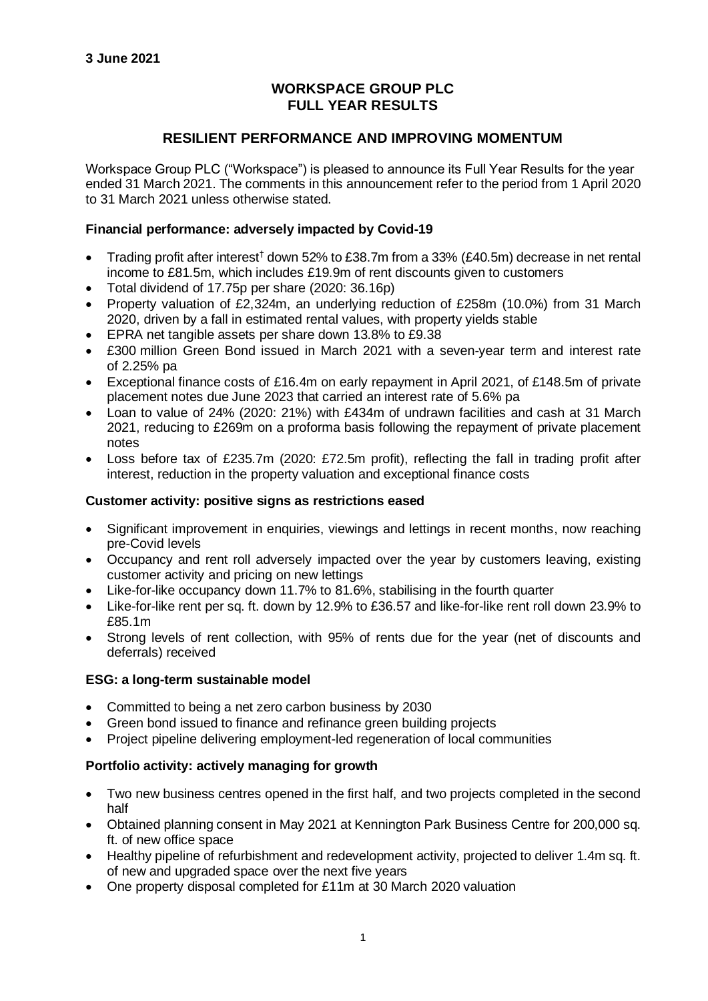## **WORKSPACE GROUP PLC FULL YEAR RESULTS**

## **RESILIENT PERFORMANCE AND IMPROVING MOMENTUM**

Workspace Group PLC ("Workspace") is pleased to announce its Full Year Results for the year ended 31 March 2021. The comments in this announcement refer to the period from 1 April 2020 to 31 March 2021 unless otherwise stated.

## **Financial performance: adversely impacted by Covid-19**

- Trading profit after interest† down 52% to £38.7m from a 33% (£40.5m) decrease in net rental income to £81.5m, which includes £19.9m of rent discounts given to customers
- Total dividend of 17.75p per share (2020: 36.16p)
- Property valuation of £2,324m, an underlying reduction of £258m (10.0%) from 31 March 2020, driven by a fall in estimated rental values, with property yields stable
- EPRA net tangible assets per share down 13.8% to £9.38
- £300 million Green Bond issued in March 2021 with a seven-year term and interest rate of 2.25% pa
- Exceptional finance costs of £16.4m on early repayment in April 2021, of £148.5m of private placement notes due June 2023 that carried an interest rate of 5.6% pa
- Loan to value of 24% (2020: 21%) with £434m of undrawn facilities and cash at 31 March 2021, reducing to £269m on a proforma basis following the repayment of private placement notes
- Loss before tax of £235.7m (2020: £72.5m profit), reflecting the fall in trading profit after interest, reduction in the property valuation and exceptional finance costs

### **Customer activity: positive signs as restrictions eased**

- Significant improvement in enquiries, viewings and lettings in recent months, now reaching pre-Covid levels
- Occupancy and rent roll adversely impacted over the year by customers leaving, existing customer activity and pricing on new lettings
- Like-for-like occupancy down 11.7% to 81.6%, stabilising in the fourth quarter
- Like-for-like rent per sq. ft. down by 12.9% to £36.57 and like-for-like rent roll down 23.9% to £85.1m
- Strong levels of rent collection, with 95% of rents due for the year (net of discounts and deferrals) received

### **ESG: a long-term sustainable model**

- Committed to being a net zero carbon business by 2030
- Green bond issued to finance and refinance green building projects
- Project pipeline delivering employment-led regeneration of local communities

## **Portfolio activity: actively managing for growth**

- Two new business centres opened in the first half, and two projects completed in the second half
- Obtained planning consent in May 2021 at Kennington Park Business Centre for 200,000 sq. ft. of new office space
- Healthy pipeline of refurbishment and redevelopment activity, projected to deliver 1.4m sq. ft. of new and upgraded space over the next five years
- One property disposal completed for £11m at 30 March 2020 valuation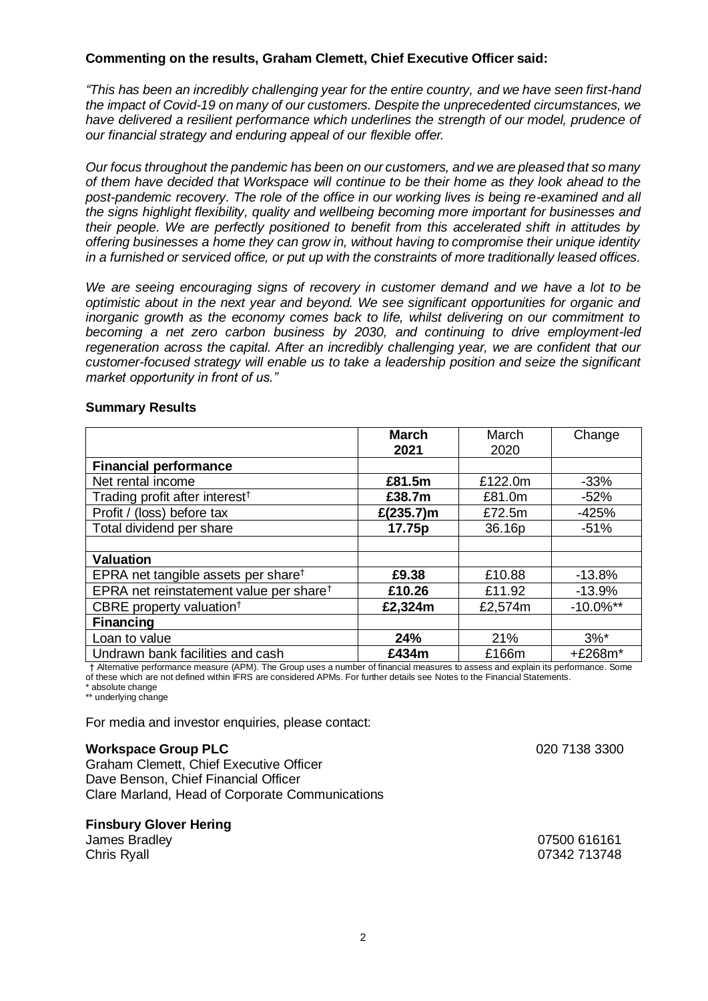## **Commenting on the results, Graham Clemett, Chief Executive Officer said:**

*"This has been an incredibly challenging year for the entire country, and we have seen first-hand the impact of Covid-19 on many of our customers. Despite the unprecedented circumstances, we have delivered a resilient performance which underlines the strength of our model, prudence of our financial strategy and enduring appeal of our flexible offer.*

*Our focus throughout the pandemic has been on our customers, and we are pleased that so many of them have decided that Workspace will continue to be their home as they look ahead to the post-pandemic recovery. The role of the office in our working lives is being re-examined and all the signs highlight flexibility, quality and wellbeing becoming more important for businesses and their people. We are perfectly positioned to benefit from this accelerated shift in attitudes by offering businesses a home they can grow in, without having to compromise their unique identity in a furnished or serviced office, or put up with the constraints of more traditionally leased offices.*

*We are seeing encouraging signs of recovery in customer demand and we have a lot to be optimistic about in the next year and beyond. We see significant opportunities for organic and inorganic growth as the economy comes back to life, whilst delivering on our commitment to becoming a net zero carbon business by 2030, and continuing to drive employment-led regeneration across the capital. After an incredibly challenging year, we are confident that our customer-focused strategy will enable us to take a leadership position and seize the significant market opportunity in front of us."*

### **Summary Results**

|                                                     | <b>March</b><br>2021 | March<br>2020 | Change       |
|-----------------------------------------------------|----------------------|---------------|--------------|
| <b>Financial performance</b>                        |                      |               |              |
| Net rental income                                   | £81.5m               | £122.0m       | $-33%$       |
| Trading profit after interest <sup>†</sup>          | £38.7m               | £81.0m        | $-52%$       |
| Profit / (loss) before tax                          | £ $(235.7)$ m        | £72.5m        | $-425%$      |
| Total dividend per share                            | 17.75p               | 36.16p        | $-51%$       |
|                                                     |                      |               |              |
| <b>Valuation</b>                                    |                      |               |              |
| EPRA net tangible assets per share <sup>t</sup>     | £9.38                | £10.88        | $-13.8%$     |
| EPRA net reinstatement value per share <sup>t</sup> | £10.26               | £11.92        | $-13.9%$     |
| CBRE property valuation <sup>†</sup>                | £2,324m              | £2,574m       | $-10.0\%$ ** |
| <b>Financing</b>                                    |                      |               |              |
| Loan to value                                       | 24%                  | 21%           | $3%^*$       |
| Undrawn bank facilities and cash                    | £434m                | £166m         | +£268m*      |

† Alternative performance measure (APM). The Group uses a number of financial measures to assess and explain its performance. Some

of these which are not defined within IFRS are considered APMs. For further details see Notes to the Financial Statements. absolute change

\*\* underlying change

For media and investor enquiries, please contact:

### **Workspace Group PLC**

Graham Clemett, Chief Executive Officer Dave Benson, Chief Financial Officer Clare Marland, Head of Corporate Communications

### **Finsbury Glover Hering**

James Bradley Chris Ryall

020 7138 3300

07500 616161 07342 713748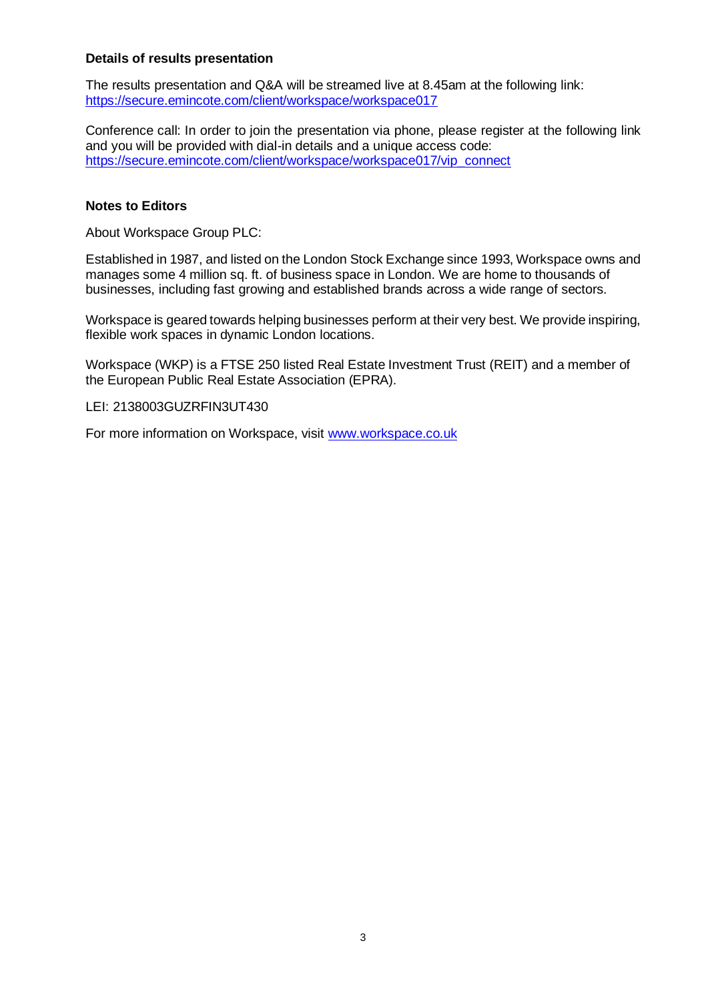## **Details of results presentation**

The results presentation and Q&A will be streamed live at 8.45am at the following link: <https://secure.emincote.com/client/workspace/workspace017>

Conference call: In order to join the presentation via phone, please register at the following link and you will be provided with dial-in details and a unique access code: https://secure.emincote.com/client/workspace/workspace017/vip\_connect

### **Notes to Editors**

About Workspace Group PLC:

Established in 1987, and listed on the London Stock Exchange since 1993, Workspace owns and manages some 4 million sq. ft. of business space in London. We are home to thousands of businesses, including fast growing and established brands across a wide range of sectors.

Workspace is geared towards helping businesses perform at their very best. We provide inspiring, flexible work spaces in dynamic London locations.

Workspace (WKP) is a FTSE 250 listed Real Estate Investment Trust (REIT) and a member of the European Public Real Estate Association (EPRA).

LEI: 2138003GUZRFIN3UT430

For more information on Workspace, visit [www.workspace.co.uk](http://www.workspace.co.uk/)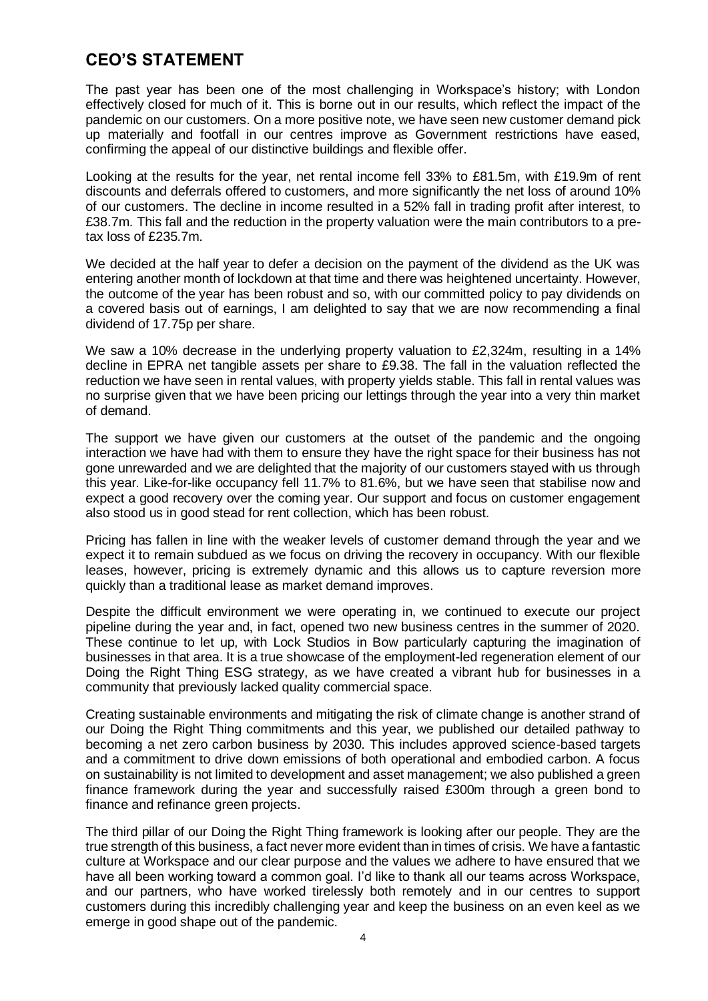# **CEO'S STATEMENT**

The past year has been one of the most challenging in Workspace's history; with London effectively closed for much of it. This is borne out in our results, which reflect the impact of the pandemic on our customers. On a more positive note, we have seen new customer demand pick up materially and footfall in our centres improve as Government restrictions have eased, confirming the appeal of our distinctive buildings and flexible offer.

Looking at the results for the year, net rental income fell 33% to £81.5m, with £19.9m of rent discounts and deferrals offered to customers, and more significantly the net loss of around 10% of our customers. The decline in income resulted in a 52% fall in trading profit after interest, to £38.7m. This fall and the reduction in the property valuation were the main contributors to a pretax loss of £235.7m.

We decided at the half year to defer a decision on the payment of the dividend as the UK was entering another month of lockdown at that time and there was heightened uncertainty. However, the outcome of the year has been robust and so, with our committed policy to pay dividends on a covered basis out of earnings, I am delighted to say that we are now recommending a final dividend of 17.75p per share.

We saw a 10% decrease in the underlying property valuation to £2,324m, resulting in a 14% decline in EPRA net tangible assets per share to £9.38. The fall in the valuation reflected the reduction we have seen in rental values, with property yields stable. This fall in rental values was no surprise given that we have been pricing our lettings through the year into a very thin market of demand.

The support we have given our customers at the outset of the pandemic and the ongoing interaction we have had with them to ensure they have the right space for their business has not gone unrewarded and we are delighted that the majority of our customers stayed with us through this year. Like-for-like occupancy fell 11.7% to 81.6%, but we have seen that stabilise now and expect a good recovery over the coming year. Our support and focus on customer engagement also stood us in good stead for rent collection, which has been robust.

Pricing has fallen in line with the weaker levels of customer demand through the year and we expect it to remain subdued as we focus on driving the recovery in occupancy. With our flexible leases, however, pricing is extremely dynamic and this allows us to capture reversion more quickly than a traditional lease as market demand improves.

Despite the difficult environment we were operating in, we continued to execute our project pipeline during the year and, in fact, opened two new business centres in the summer of 2020. These continue to let up, with Lock Studios in Bow particularly capturing the imagination of businesses in that area. It is a true showcase of the employment-led regeneration element of our Doing the Right Thing ESG strategy, as we have created a vibrant hub for businesses in a community that previously lacked quality commercial space.

Creating sustainable environments and mitigating the risk of climate change is another strand of our Doing the Right Thing commitments and this year, we published our detailed pathway to becoming a net zero carbon business by 2030. This includes approved science-based targets and a commitment to drive down emissions of both operational and embodied carbon. A focus on sustainability is not limited to development and asset management; we also published a green finance framework during the year and successfully raised £300m through a green bond to finance and refinance green projects.

The third pillar of our Doing the Right Thing framework is looking after our people. They are the true strength of this business, a fact never more evident than in times of crisis. We have a fantastic culture at Workspace and our clear purpose and the values we adhere to have ensured that we have all been working toward a common goal. I'd like to thank all our teams across Workspace, and our partners, who have worked tirelessly both remotely and in our centres to support customers during this incredibly challenging year and keep the business on an even keel as we emerge in good shape out of the pandemic.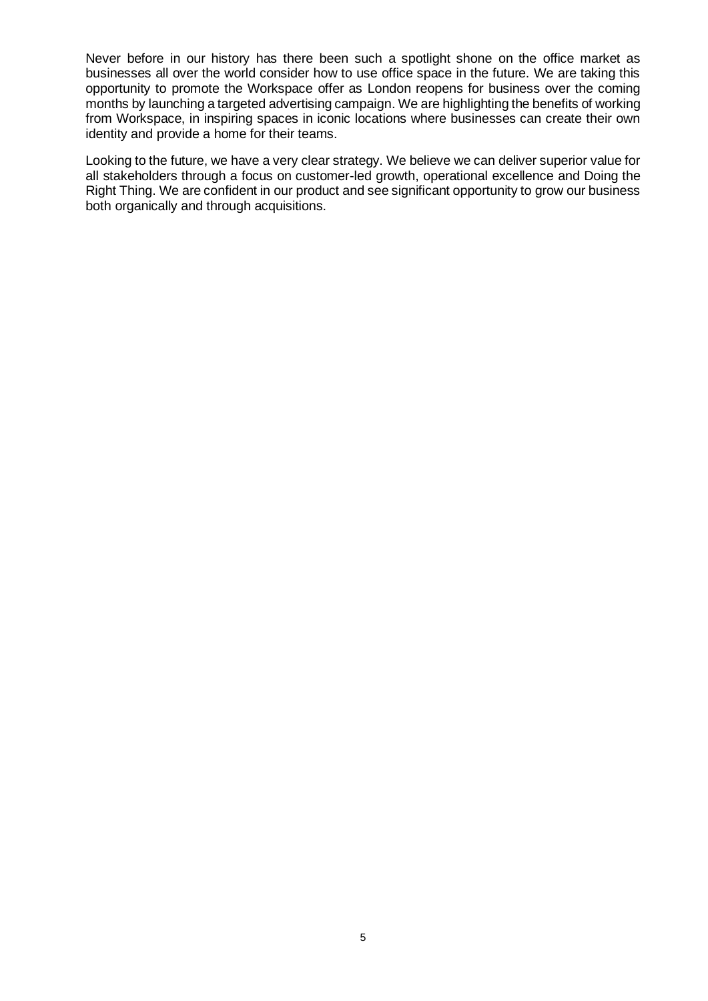Never before in our history has there been such a spotlight shone on the office market as businesses all over the world consider how to use office space in the future. We are taking this opportunity to promote the Workspace offer as London reopens for business over the coming months by launching a targeted advertising campaign. We are highlighting the benefits of working from Workspace, in inspiring spaces in iconic locations where businesses can create their own identity and provide a home for their teams.

Looking to the future, we have a very clear strategy. We believe we can deliver superior value for all stakeholders through a focus on customer-led growth, operational excellence and Doing the Right Thing. We are confident in our product and see significant opportunity to grow our business both organically and through acquisitions.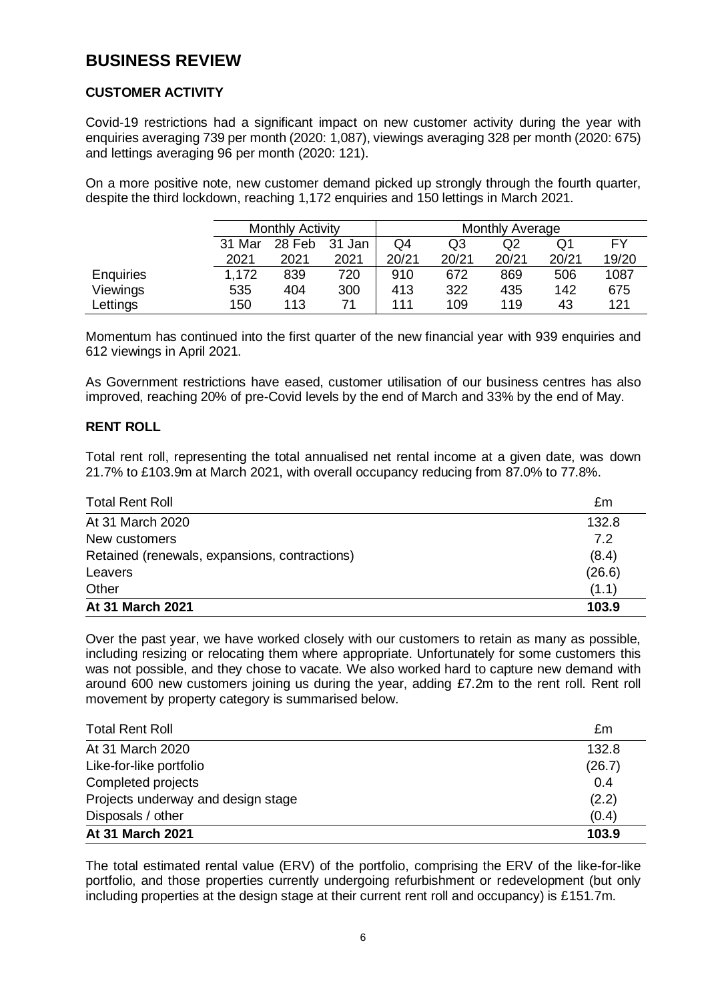# **BUSINESS REVIEW**

## **CUSTOMER ACTIVITY**

Covid-19 restrictions had a significant impact on new customer activity during the year with enquiries averaging 739 per month (2020: 1,087), viewings averaging 328 per month (2020: 675) and lettings averaging 96 per month (2020: 121).

On a more positive note, new customer demand picked up strongly through the fourth quarter, despite the third lockdown, reaching 1,172 enquiries and 150 lettings in March 2021.

|                  | <b>Monthly Activity</b> |        | <b>Monthly Average</b> |       |       |       |       |           |
|------------------|-------------------------|--------|------------------------|-------|-------|-------|-------|-----------|
|                  | 31 Mar                  | 28 Feb | 31 Jan                 | Q4    | Q3    | Q2    | Q1    | <b>FY</b> |
|                  | 2021                    | 2021   | 2021                   | 20/21 | 20/21 | 20/21 | 20/21 | 19/20     |
| <b>Enquiries</b> | 1.172                   | 839    | 720                    | 910   | 672   | 869   | 506   | 1087      |
| Viewings         | 535                     | 404    | 300                    | 413   | 322   | 435   | 142   | 675       |
| Lettings         | 150                     | 113    |                        | 111   | 109   | 119   | 43    | 121       |

Momentum has continued into the first quarter of the new financial year with 939 enquiries and 612 viewings in April 2021.

As Government restrictions have eased, customer utilisation of our business centres has also improved, reaching 20% of pre-Covid levels by the end of March and 33% by the end of May.

## **RENT ROLL**

Total rent roll, representing the total annualised net rental income at a given date, was down 21.7% to £103.9m at March 2021, with overall occupancy reducing from 87.0% to 77.8%.

| <b>Total Rent Roll</b>                        | £m     |
|-----------------------------------------------|--------|
| At 31 March 2020                              | 132.8  |
| New customers                                 | 7.2    |
| Retained (renewals, expansions, contractions) | (8.4)  |
| Leavers                                       | (26.6) |
| Other                                         | (1.1)  |
| At 31 March 2021                              | 103.9  |

Over the past year, we have worked closely with our customers to retain as many as possible, including resizing or relocating them where appropriate. Unfortunately for some customers this was not possible, and they chose to vacate. We also worked hard to capture new demand with around 600 new customers joining us during the year, adding £7.2m to the rent roll. Rent roll movement by property category is summarised below.

| <b>Total Rent Roll</b>             | £m     |
|------------------------------------|--------|
| At 31 March 2020                   | 132.8  |
| Like-for-like portfolio            | (26.7) |
| Completed projects                 | 0.4    |
| Projects underway and design stage | (2.2)  |
| Disposals / other                  | (0.4)  |
| At 31 March 2021                   | 103.9  |

The total estimated rental value (ERV) of the portfolio, comprising the ERV of the like-for-like portfolio, and those properties currently undergoing refurbishment or redevelopment (but only including properties at the design stage at their current rent roll and occupancy) is £151.7m.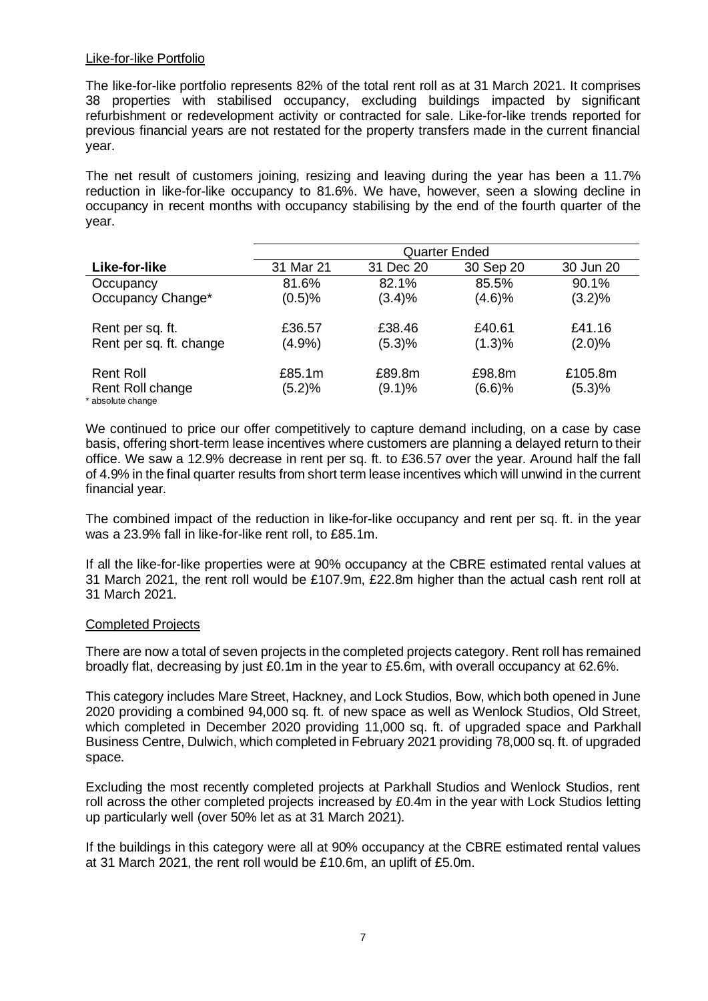### Like-for-like Portfolio

The like-for-like portfolio represents 82% of the total rent roll as at 31 March 2021. It comprises 38 properties with stabilised occupancy, excluding buildings impacted by significant refurbishment or redevelopment activity or contracted for sale. Like-for-like trends reported for previous financial years are not restated for the property transfers made in the current financial year.

The net result of customers joining, resizing and leaving during the year has been a 11.7% reduction in like-for-like occupancy to 81.6%. We have, however, seen a slowing decline in occupancy in recent months with occupancy stabilising by the end of the fourth quarter of the year.

|                                       | <b>Quarter Ended</b> |           |           |           |
|---------------------------------------|----------------------|-----------|-----------|-----------|
| Like-for-like                         | 31 Mar 21            | 31 Dec 20 | 30 Sep 20 | 30 Jun 20 |
| Occupancy                             | 81.6%                | 82.1%     | 85.5%     | 90.1%     |
| Occupancy Change*                     | (0.5)%               | (3.4)%    | (4.6)%    | (3.2)%    |
| Rent per sq. ft.                      | £36.57               | £38.46    | £40.61    | £41.16    |
| Rent per sq. ft. change               | (4.9%                | (5.3)%    | (1.3)%    | (2.0)%    |
| Rent Roll                             | £85.1m               | £89.8m    | £98.8m    | £105.8m   |
| Rent Roll change<br>* absolute change | (5.2)%               | $(9.1)\%$ | (6.6)%    | (5.3)%    |

We continued to price our offer competitively to capture demand including, on a case by case basis, offering short-term lease incentives where customers are planning a delayed return to their office. We saw a 12.9% decrease in rent per sq. ft. to £36.57 over the year. Around half the fall of 4.9% in the final quarter results from short term lease incentives which will unwind in the current financial year.

The combined impact of the reduction in like-for-like occupancy and rent per sq. ft. in the year was a 23.9% fall in like-for-like rent roll, to £85.1m.

If all the like-for-like properties were at 90% occupancy at the CBRE estimated rental values at 31 March 2021, the rent roll would be £107.9m, £22.8m higher than the actual cash rent roll at 31 March 2021.

### Completed Projects

There are now a total of seven projects in the completed projects category. Rent roll has remained broadly flat, decreasing by just £0.1m in the year to £5.6m, with overall occupancy at 62.6%.

This category includes Mare Street, Hackney, and Lock Studios, Bow, which both opened in June 2020 providing a combined 94,000 sq. ft. of new space as well as Wenlock Studios, Old Street, which completed in December 2020 providing 11,000 sq. ft. of upgraded space and Parkhall Business Centre, Dulwich, which completed in February 2021 providing 78,000 sq. ft. of upgraded space.

Excluding the most recently completed projects at Parkhall Studios and Wenlock Studios, rent roll across the other completed projects increased by £0.4m in the year with Lock Studios letting up particularly well (over 50% let as at 31 March 2021).

If the buildings in this category were all at 90% occupancy at the CBRE estimated rental values at 31 March 2021, the rent roll would be £10.6m, an uplift of £5.0m.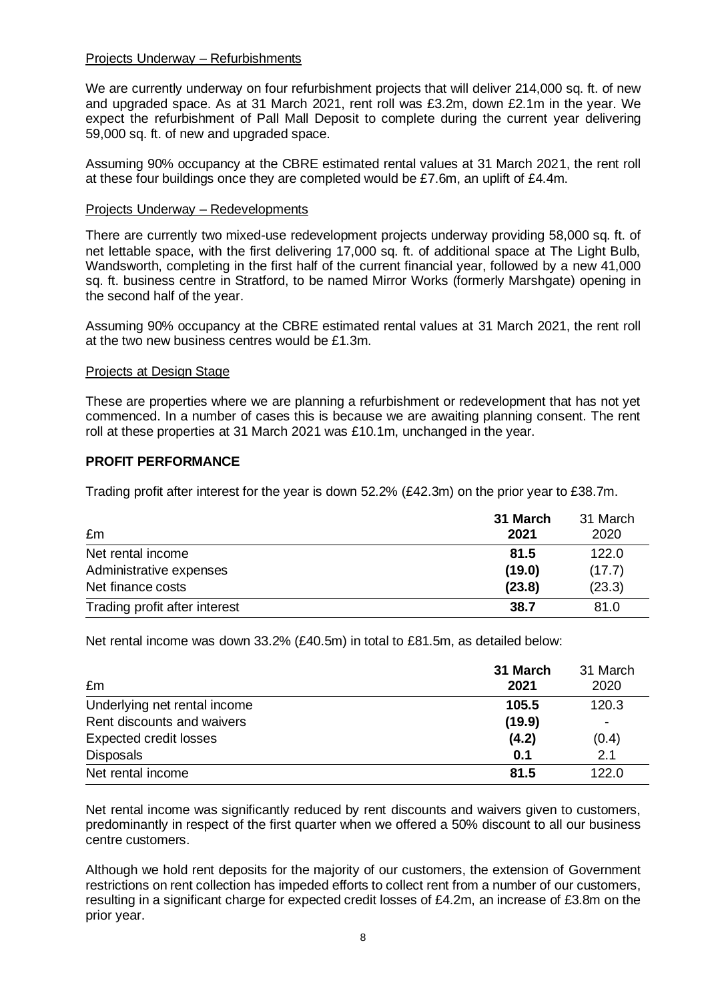### Projects Underway – Refurbishments

We are currently underway on four refurbishment projects that will deliver 214,000 sq. ft. of new and upgraded space. As at 31 March 2021, rent roll was £3.2m, down £2.1m in the year. We expect the refurbishment of Pall Mall Deposit to complete during the current year delivering 59,000 sq. ft. of new and upgraded space.

Assuming 90% occupancy at the CBRE estimated rental values at 31 March 2021, the rent roll at these four buildings once they are completed would be £7.6m, an uplift of £4.4m.

### Projects Underway – Redevelopments

There are currently two mixed-use redevelopment projects underway providing 58,000 sq. ft. of net lettable space, with the first delivering 17,000 sq. ft. of additional space at The Light Bulb, Wandsworth, completing in the first half of the current financial year, followed by a new 41,000 sq. ft. business centre in Stratford, to be named Mirror Works (formerly Marshgate) opening in the second half of the year.

Assuming 90% occupancy at the CBRE estimated rental values at 31 March 2021, the rent roll at the two new business centres would be £1.3m.

### Projects at Design Stage

These are properties where we are planning a refurbishment or redevelopment that has not yet commenced. In a number of cases this is because we are awaiting planning consent. The rent roll at these properties at 31 March 2021 was £10.1m, unchanged in the year.

## **PROFIT PERFORMANCE**

Trading profit after interest for the year is down 52.2% (£42.3m) on the prior year to £38.7m.

| £m                            | 31 March<br>2021 | 31 March<br>2020 |
|-------------------------------|------------------|------------------|
| Net rental income             | 81.5             | 122.0            |
| Administrative expenses       | (19.0)           | (17.7)           |
| Net finance costs             | (23.8)           | (23.3)           |
| Trading profit after interest | 38.7             | 81.0             |

Net rental income was down 33.2% (£40.5m) in total to £81.5m, as detailed below:

| £m                            | 31 March<br>2021 | 31 March<br>2020 |
|-------------------------------|------------------|------------------|
| Underlying net rental income  | 105.5            | 120.3            |
| Rent discounts and waivers    | (19.9)           | ۰                |
| <b>Expected credit losses</b> | (4.2)            | (0.4)            |
| <b>Disposals</b>              | 0.1              | 2.1              |
| Net rental income             | 81.5             | 122.0            |

Net rental income was significantly reduced by rent discounts and waivers given to customers, predominantly in respect of the first quarter when we offered a 50% discount to all our business centre customers.

Although we hold rent deposits for the majority of our customers, the extension of Government restrictions on rent collection has impeded efforts to collect rent from a number of our customers, resulting in a significant charge for expected credit losses of £4.2m, an increase of £3.8m on the prior year.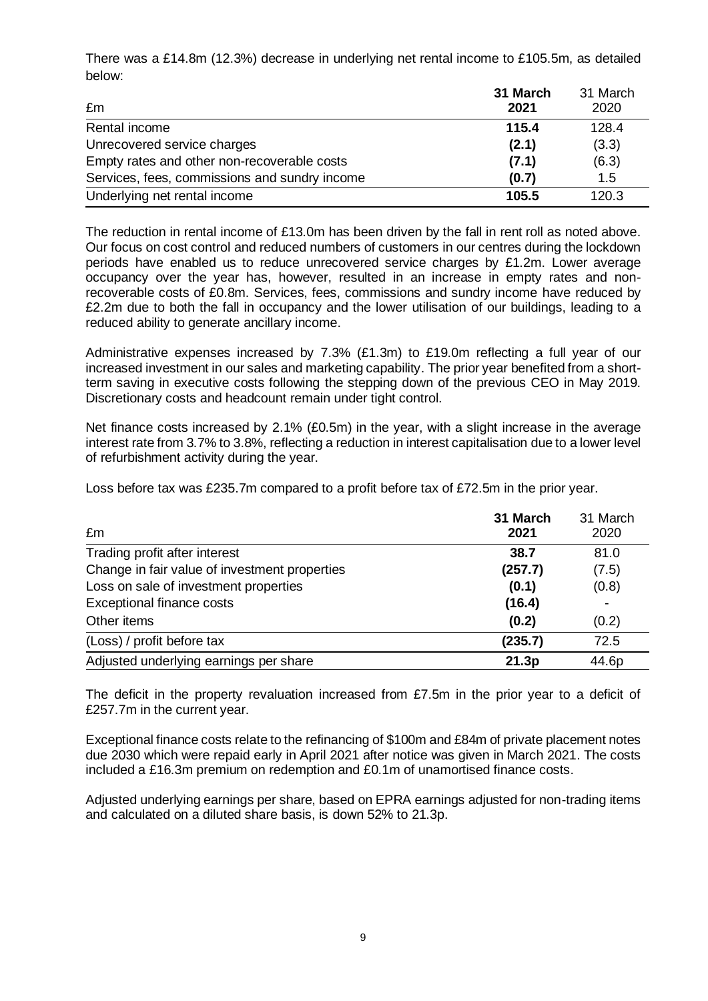There was a £14.8m (12.3%) decrease in underlying net rental income to £105.5m, as detailed below:

|                                               | 31 March | 31 March |
|-----------------------------------------------|----------|----------|
| £m                                            | 2021     | 2020     |
| Rental income                                 | 115.4    | 128.4    |
| Unrecovered service charges                   | (2.1)    | (3.3)    |
| Empty rates and other non-recoverable costs   | (7.1)    | (6.3)    |
| Services, fees, commissions and sundry income | (0.7)    | 1.5      |
| Underlying net rental income                  | 105.5    | 120.3    |

The reduction in rental income of £13.0m has been driven by the fall in rent roll as noted above. Our focus on cost control and reduced numbers of customers in our centres during the lockdown periods have enabled us to reduce unrecovered service charges by £1.2m. Lower average occupancy over the year has, however, resulted in an increase in empty rates and nonrecoverable costs of £0.8m. Services, fees, commissions and sundry income have reduced by £2.2m due to both the fall in occupancy and the lower utilisation of our buildings, leading to a reduced ability to generate ancillary income.

Administrative expenses increased by 7.3% (£1.3m) to £19.0m reflecting a full year of our increased investment in our sales and marketing capability. The prior year benefited from a shortterm saving in executive costs following the stepping down of the previous CEO in May 2019. Discretionary costs and headcount remain under tight control.

Net finance costs increased by 2.1% (£0.5m) in the year, with a slight increase in the average interest rate from 3.7% to 3.8%, reflecting a reduction in interest capitalisation due to a lower level of refurbishment activity during the year.

Loss before tax was £235.7m compared to a profit before tax of £72.5m in the prior year.

| £m                                            | 31 March<br>2021 | 31 March<br>2020 |
|-----------------------------------------------|------------------|------------------|
| Trading profit after interest                 | 38.7             | 81.0             |
| Change in fair value of investment properties | (257.7)          | (7.5)            |
| Loss on sale of investment properties         | (0.1)            | (0.8)            |
| <b>Exceptional finance costs</b>              | (16.4)           |                  |
| Other items                                   | (0.2)            | (0.2)            |
| (Loss) / profit before tax                    | (235.7)          | 72.5             |
| Adjusted underlying earnings per share        | 21.3p            | 44.6p            |

The deficit in the property revaluation increased from £7.5m in the prior year to a deficit of £257.7m in the current year.

Exceptional finance costs relate to the refinancing of \$100m and £84m of private placement notes due 2030 which were repaid early in April 2021 after notice was given in March 2021. The costs included a £16.3m premium on redemption and £0.1m of unamortised finance costs.

Adjusted underlying earnings per share, based on EPRA earnings adjusted for non-trading items and calculated on a diluted share basis, is down 52% to 21.3p.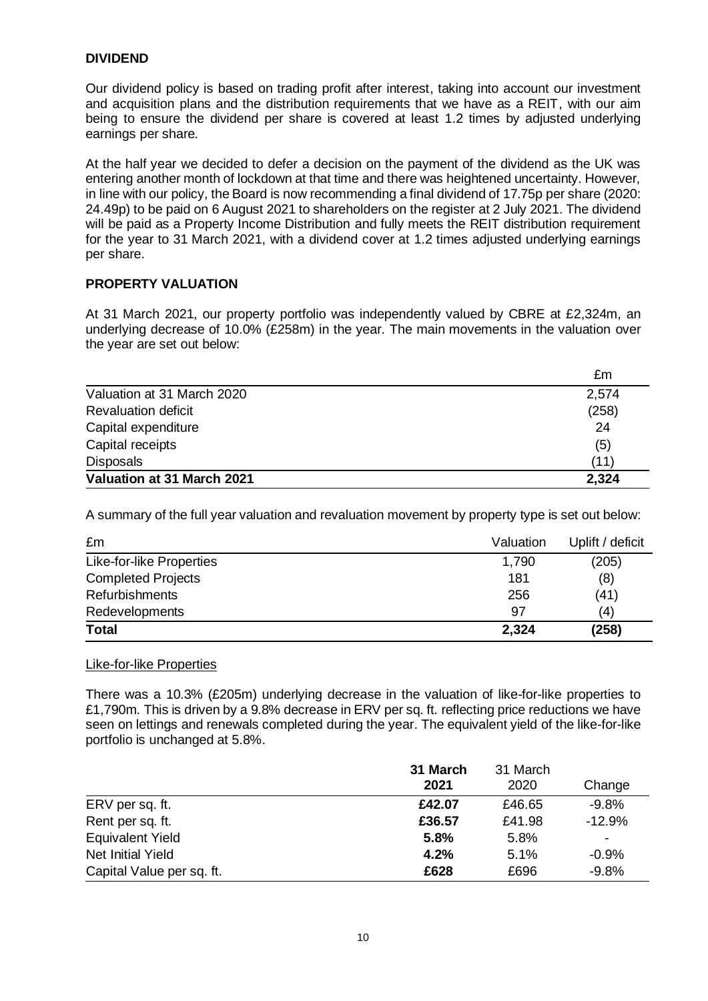## **DIVIDEND**

Our dividend policy is based on trading profit after interest, taking into account our investment and acquisition plans and the distribution requirements that we have as a REIT, with our aim being to ensure the dividend per share is covered at least 1.2 times by adjusted underlying earnings per share.

At the half year we decided to defer a decision on the payment of the dividend as the UK was entering another month of lockdown at that time and there was heightened uncertainty. However, in line with our policy, the Board is now recommending a final dividend of 17.75p per share (2020: 24.49p) to be paid on 6 August 2021 to shareholders on the register at 2 July 2021. The dividend will be paid as a Property Income Distribution and fully meets the REIT distribution requirement for the year to 31 March 2021, with a dividend cover at 1.2 times adjusted underlying earnings per share.

## **PROPERTY VALUATION**

At 31 March 2021, our property portfolio was independently valued by CBRE at £2,324m, an underlying decrease of 10.0% (£258m) in the year. The main movements in the valuation over the year are set out below:

|                            | £m    |
|----------------------------|-------|
| Valuation at 31 March 2020 | 2,574 |
| <b>Revaluation deficit</b> | (258) |
| Capital expenditure        | 24    |
| Capital receipts           | (5)   |
| <b>Disposals</b>           | (11)  |
| Valuation at 31 March 2021 | 2,324 |

A summary of the full year valuation and revaluation movement by property type is set out below:

| £m                        | Valuation | Uplift / deficit |
|---------------------------|-----------|------------------|
| Like-for-like Properties  | 1,790     | (205)            |
| <b>Completed Projects</b> | 181       | (8)              |
| <b>Refurbishments</b>     | 256       | (41)             |
| Redevelopments            | 97        | (4)              |
| <b>Total</b>              | 2,324     | (258)            |

### Like-for-like Properties

There was a 10.3% (£205m) underlying decrease in the valuation of like-for-like properties to £1,790m. This is driven by a 9.8% decrease in ERV per sq. ft. reflecting price reductions we have seen on lettings and renewals completed during the year. The equivalent yield of the like-for-like portfolio is unchanged at 5.8%.

|                           | 31 March<br>2021 | 31 March<br>2020 | Change                   |
|---------------------------|------------------|------------------|--------------------------|
| ERV per sq. ft.           | £42.07           | £46.65           | $-9.8%$                  |
| Rent per sq. ft.          | £36.57           | £41.98           | $-12.9%$                 |
| <b>Equivalent Yield</b>   | 5.8%             | 5.8%             | $\overline{\phantom{0}}$ |
| <b>Net Initial Yield</b>  | 4.2%             | 5.1%             | $-0.9%$                  |
| Capital Value per sq. ft. | £628             | £696             | $-9.8%$                  |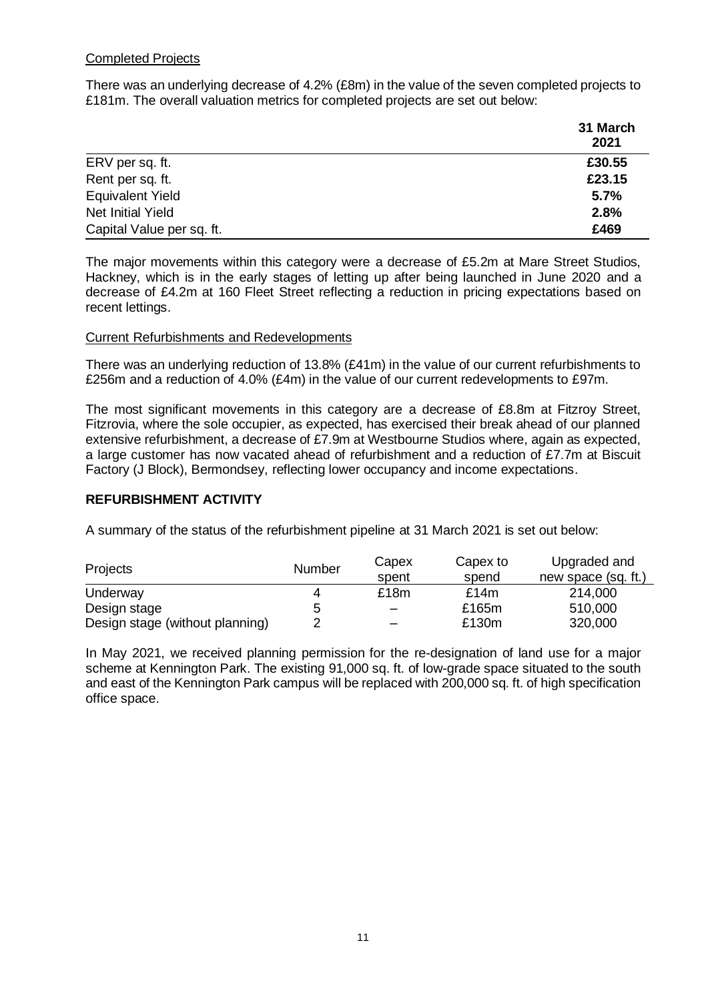## Completed Projects

There was an underlying decrease of 4.2% (£8m) in the value of the seven completed projects to £181m. The overall valuation metrics for completed projects are set out below:

|                           | 31 March<br>2021 |
|---------------------------|------------------|
| ERV per sq. ft.           | £30.55           |
| Rent per sq. ft.          | £23.15           |
| <b>Equivalent Yield</b>   | 5.7%             |
| <b>Net Initial Yield</b>  | 2.8%             |
| Capital Value per sq. ft. | £469             |

The major movements within this category were a decrease of £5.2m at Mare Street Studios, Hackney, which is in the early stages of letting up after being launched in June 2020 and a decrease of £4.2m at 160 Fleet Street reflecting a reduction in pricing expectations based on recent lettings.

### Current Refurbishments and Redevelopments

There was an underlying reduction of 13.8% (£41m) in the value of our current refurbishments to £256m and a reduction of 4.0% (£4m) in the value of our current redevelopments to £97m.

The most significant movements in this category are a decrease of £8.8m at Fitzroy Street, Fitzrovia, where the sole occupier, as expected, has exercised their break ahead of our planned extensive refurbishment, a decrease of £7.9m at Westbourne Studios where, again as expected, a large customer has now vacated ahead of refurbishment and a reduction of £7.7m at Biscuit Factory (J Block), Bermondsey, reflecting lower occupancy and income expectations.

## **REFURBISHMENT ACTIVITY**

A summary of the status of the refurbishment pipeline at 31 March 2021 is set out below:

| Projects                        | Number | Capex<br>spent | Capex to<br>spend | Upgraded and<br>new space (sq. ft.) |
|---------------------------------|--------|----------------|-------------------|-------------------------------------|
| Underway                        | 4      | £18m           | £14m              | 214,000                             |
| Design stage                    | 5      |                | £165m             | 510,000                             |
| Design stage (without planning) |        |                | £130m             | 320,000                             |

In May 2021, we received planning permission for the re-designation of land use for a major scheme at Kennington Park. The existing 91,000 sq. ft. of low-grade space situated to the south and east of the Kennington Park campus will be replaced with 200,000 sq. ft. of high specification office space.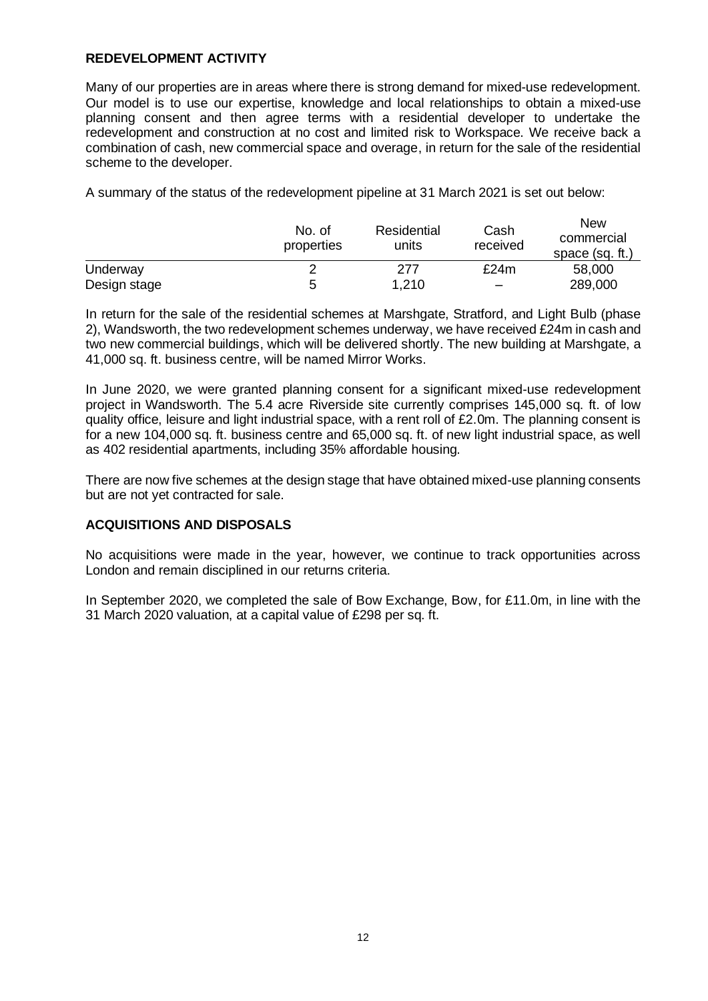## **REDEVELOPMENT ACTIVITY**

Many of our properties are in areas where there is strong demand for mixed-use redevelopment. Our model is to use our expertise, knowledge and local relationships to obtain a mixed-use planning consent and then agree terms with a residential developer to undertake the redevelopment and construction at no cost and limited risk to Workspace. We receive back a combination of cash, new commercial space and overage, in return for the sale of the residential scheme to the developer.

A summary of the status of the redevelopment pipeline at 31 March 2021 is set out below:

|              | No. of<br>properties | Residential<br>units | Cash<br>received         | <b>New</b><br>commercial<br>space (sq. ft.) |
|--------------|----------------------|----------------------|--------------------------|---------------------------------------------|
| Underway     |                      | 277                  | £24m                     | 58,000                                      |
| Design stage | b                    | 1,210                | $\overline{\phantom{m}}$ | 289,000                                     |

In return for the sale of the residential schemes at Marshgate, Stratford, and Light Bulb (phase 2), Wandsworth, the two redevelopment schemes underway, we have received £24m in cash and two new commercial buildings, which will be delivered shortly. The new building at Marshgate, a 41,000 sq. ft. business centre, will be named Mirror Works.

In June 2020, we were granted planning consent for a significant mixed-use redevelopment project in Wandsworth. The 5.4 acre Riverside site currently comprises 145,000 sq. ft. of low quality office, leisure and light industrial space, with a rent roll of £2.0m. The planning consent is for a new 104,000 sq. ft. business centre and 65,000 sq. ft. of new light industrial space, as well as 402 residential apartments, including 35% affordable housing.

There are now five schemes at the design stage that have obtained mixed-use planning consents but are not yet contracted for sale.

## **ACQUISITIONS AND DISPOSALS**

No acquisitions were made in the year, however, we continue to track opportunities across London and remain disciplined in our returns criteria.

In September 2020, we completed the sale of Bow Exchange, Bow, for £11.0m, in line with the 31 March 2020 valuation, at a capital value of £298 per sq. ft.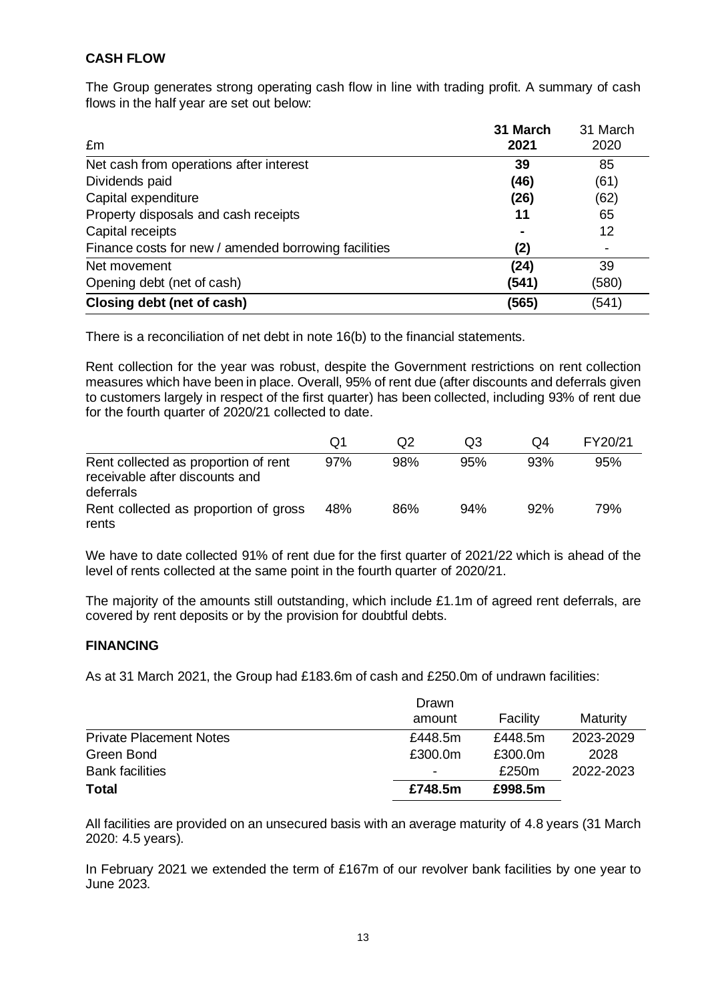## **CASH FLOW**

The Group generates strong operating cash flow in line with trading profit. A summary of cash flows in the half year are set out below:

| £m                                                   | 31 March<br>2021 | 31 March<br>2020 |
|------------------------------------------------------|------------------|------------------|
| Net cash from operations after interest              | 39               | 85               |
| Dividends paid                                       | (46)             | (61)             |
| Capital expenditure                                  | (26)             | (62)             |
| Property disposals and cash receipts                 | 11               | 65               |
| Capital receipts                                     |                  | 12               |
| Finance costs for new / amended borrowing facilities | (2)              |                  |
| Net movement                                         | (24)             | 39               |
| Opening debt (net of cash)                           | (541)            | (580)            |
| Closing debt (net of cash)                           | (565)            | (541)            |

There is a reconciliation of net debt in note 16(b) to the financial statements.

Rent collection for the year was robust, despite the Government restrictions on rent collection measures which have been in place. Overall, 95% of rent due (after discounts and deferrals given to customers largely in respect of the first quarter) has been collected, including 93% of rent due for the fourth quarter of 2020/21 collected to date.

|                                                                                     | Q1  | Q <sub>2</sub> | O3  | O4  | FY20/21 |
|-------------------------------------------------------------------------------------|-----|----------------|-----|-----|---------|
| Rent collected as proportion of rent<br>receivable after discounts and<br>deferrals | 97% | 98%            | 95% | 93% | 95%     |
| Rent collected as proportion of gross<br>rents                                      | 48% | 86%            | 94% | 92% | 79%     |

We have to date collected 91% of rent due for the first quarter of 2021/22 which is ahead of the level of rents collected at the same point in the fourth quarter of 2020/21.

The majority of the amounts still outstanding, which include £1.1m of agreed rent deferrals, are covered by rent deposits or by the provision for doubtful debts.

## **FINANCING**

As at 31 March 2021, the Group had £183.6m of cash and £250.0m of undrawn facilities:

| <b>Total</b>                   | £748.5m | £998.5m  |           |
|--------------------------------|---------|----------|-----------|
| <b>Bank facilities</b>         | ۰       | £250m    | 2022-2023 |
| Green Bond                     | £300.0m | £300.0m  | 2028      |
| <b>Private Placement Notes</b> | £448.5m | £448.5m  | 2023-2029 |
|                                | amount  | Facility | Maturity  |
|                                | Drawn   |          |           |

All facilities are provided on an unsecured basis with an average maturity of 4.8 years (31 March 2020: 4.5 years).

In February 2021 we extended the term of £167m of our revolver bank facilities by one year to June 2023.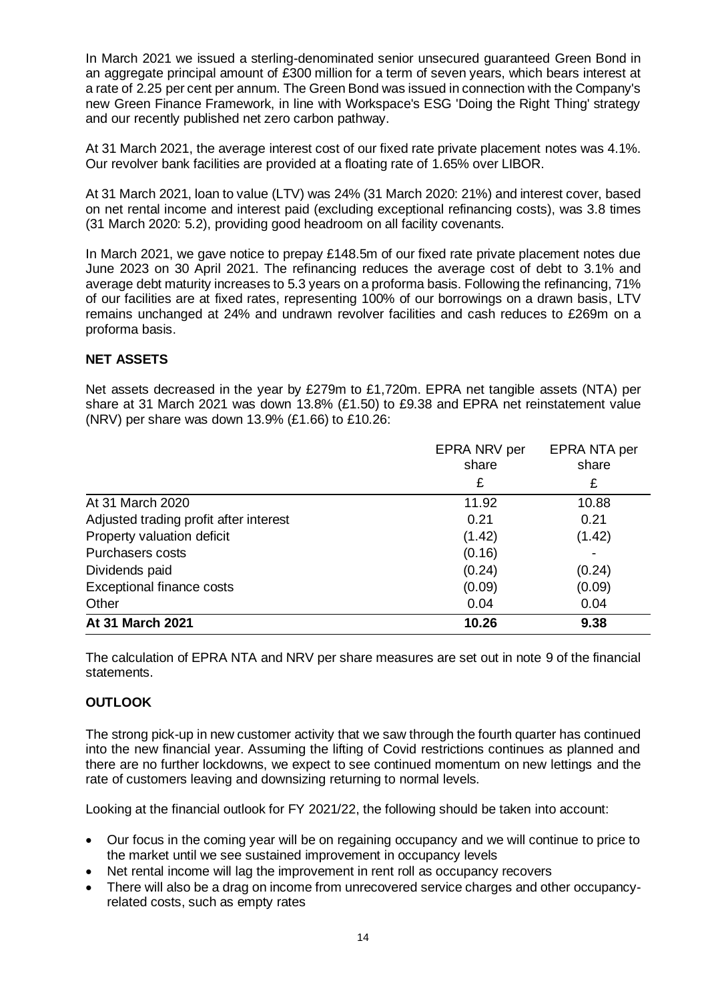In March 2021 we issued a sterling-denominated senior unsecured guaranteed Green Bond in an aggregate principal amount of £300 million for a term of seven years, which bears interest at a rate of 2.25 per cent per annum. The Green Bond was issued in connection with the Company's new Green Finance Framework, in line with Workspace's ESG 'Doing the Right Thing' strategy and our recently published net zero carbon pathway.

At 31 March 2021, the average interest cost of our fixed rate private placement notes was 4.1%. Our revolver bank facilities are provided at a floating rate of 1.65% over LIBOR.

At 31 March 2021, loan to value (LTV) was 24% (31 March 2020: 21%) and interest cover, based on net rental income and interest paid (excluding exceptional refinancing costs), was 3.8 times (31 March 2020: 5.2), providing good headroom on all facility covenants.

In March 2021, we gave notice to prepay £148.5m of our fixed rate private placement notes due June 2023 on 30 April 2021. The refinancing reduces the average cost of debt to 3.1% and average debt maturity increases to 5.3 years on a proforma basis. Following the refinancing, 71% of our facilities are at fixed rates, representing 100% of our borrowings on a drawn basis, LTV remains unchanged at 24% and undrawn revolver facilities and cash reduces to £269m on a proforma basis.

## **NET ASSETS**

Net assets decreased in the year by £279m to £1,720m. EPRA net tangible assets (NTA) per share at 31 March 2021 was down 13.8% (£1.50) to £9.38 and EPRA net reinstatement value (NRV) per share was down 13.9% (£1.66) to £10.26:

|                                        | EPRA NRV per<br>share | EPRA NTA per<br>share |
|----------------------------------------|-----------------------|-----------------------|
|                                        | £                     | £                     |
| At 31 March 2020                       | 11.92                 | 10.88                 |
| Adjusted trading profit after interest | 0.21                  | 0.21                  |
| Property valuation deficit             | (1.42)                | (1.42)                |
| <b>Purchasers costs</b>                | (0.16)                |                       |
| Dividends paid                         | (0.24)                | (0.24)                |
| <b>Exceptional finance costs</b>       | (0.09)                | (0.09)                |
| Other                                  | 0.04                  | 0.04                  |
| At 31 March 2021                       | 10.26                 | 9.38                  |

The calculation of EPRA NTA and NRV per share measures are set out in note 9 of the financial statements.

## **OUTLOOK**

The strong pick-up in new customer activity that we saw through the fourth quarter has continued into the new financial year. Assuming the lifting of Covid restrictions continues as planned and there are no further lockdowns, we expect to see continued momentum on new lettings and the rate of customers leaving and downsizing returning to normal levels.

Looking at the financial outlook for FY 2021/22, the following should be taken into account:

- Our focus in the coming year will be on regaining occupancy and we will continue to price to the market until we see sustained improvement in occupancy levels
- Net rental income will lag the improvement in rent roll as occupancy recovers
- There will also be a drag on income from unrecovered service charges and other occupancyrelated costs, such as empty rates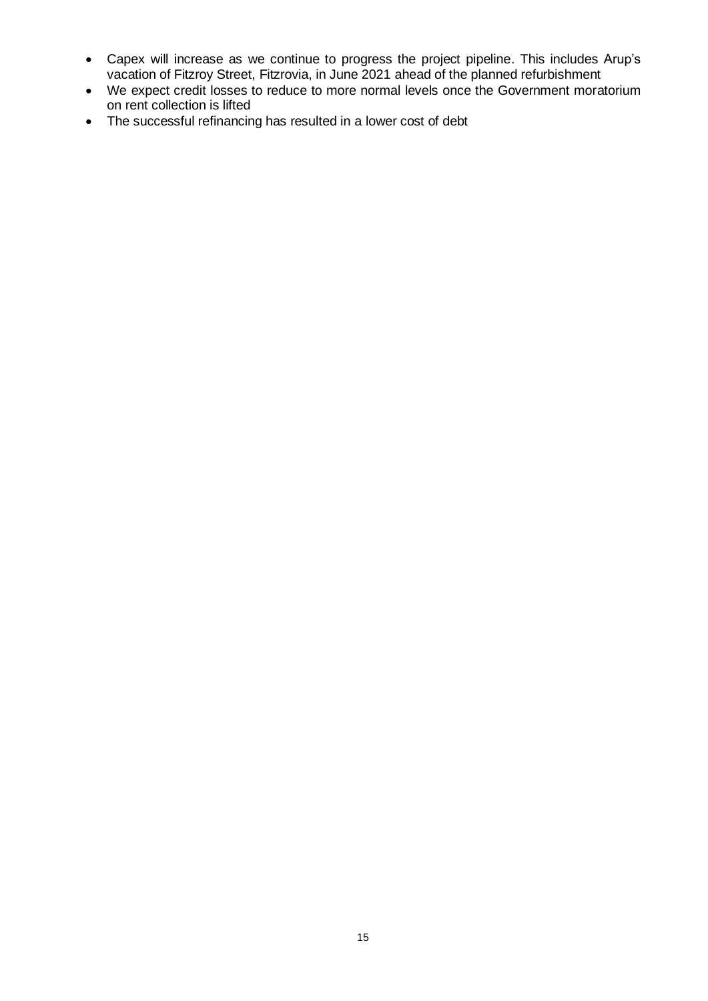- Capex will increase as we continue to progress the project pipeline. This includes Arup's vacation of Fitzroy Street, Fitzrovia, in June 2021 ahead of the planned refurbishment
- We expect credit losses to reduce to more normal levels once the Government moratorium on rent collection is lifted
- The successful refinancing has resulted in a lower cost of debt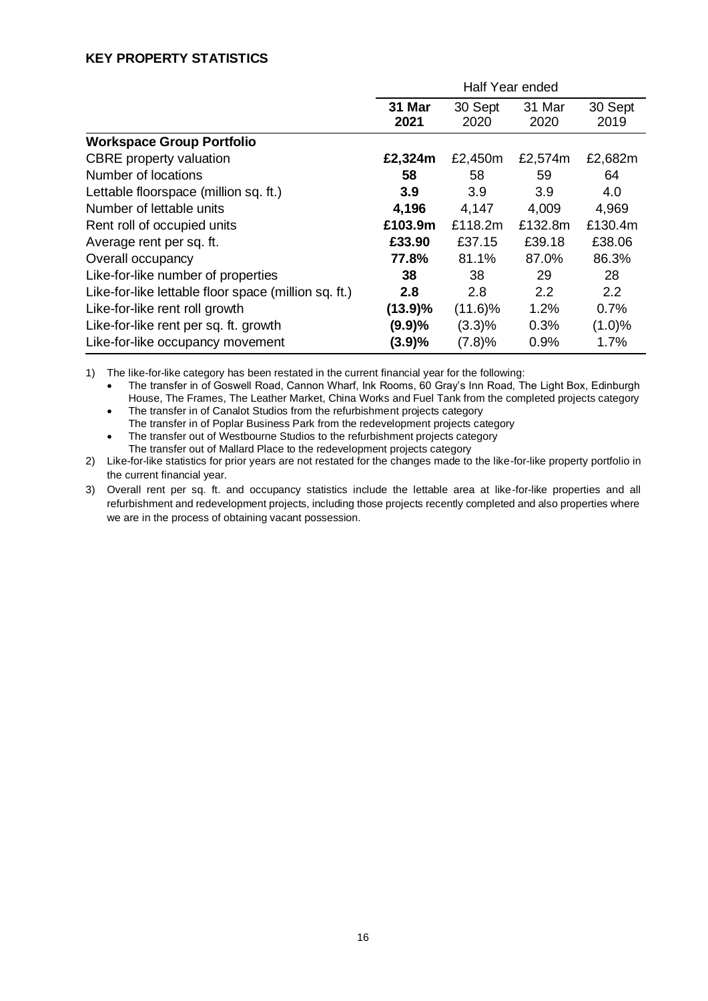## **KEY PROPERTY STATISTICS**

|                                                      | Half Year ended |                 |                |                 |  |
|------------------------------------------------------|-----------------|-----------------|----------------|-----------------|--|
|                                                      | 31 Mar<br>2021  | 30 Sept<br>2020 | 31 Mar<br>2020 | 30 Sept<br>2019 |  |
| <b>Workspace Group Portfolio</b>                     |                 |                 |                |                 |  |
| <b>CBRE</b> property valuation                       | £2,324m         | £2,450m         | £2,574m        | £2,682m         |  |
| Number of locations                                  | 58              | 58              | 59             | 64              |  |
| Lettable floorspace (million sq. ft.)                | 3.9             | 3.9             | 3.9            | 4.0             |  |
| Number of lettable units                             | 4,196           | 4,147           | 4,009          | 4,969           |  |
| Rent roll of occupied units                          | £103.9m         | £118.2m         | £132.8m        | £130.4m         |  |
| Average rent per sq. ft.                             | £33.90          | £37.15          | £39.18         | £38.06          |  |
| Overall occupancy                                    | 77.8%           | 81.1%           | 87.0%          | 86.3%           |  |
| Like-for-like number of properties                   | 38              | 38              | 29             | 28              |  |
| Like-for-like lettable floor space (million sq. ft.) | 2.8             | 2.8             | 2.2            | 2.2             |  |
| Like-for-like rent roll growth                       | (13.9)%         | $(11.6)\%$      | 1.2%           | 0.7%            |  |
| Like-for-like rent per sq. ft. growth                | (9.9)%          | (3.3)%          | 0.3%           | (1.0)%          |  |
| Like-for-like occupancy movement                     | (3.9)%          | (7.8)%          | 0.9%           | 1.7%            |  |

1) The like-for-like category has been restated in the current financial year for the following:

• The transfer in of Goswell Road, Cannon Wharf, Ink Rooms, 60 Gray's Inn Road, The Light Box, Edinburgh House, The Frames, The Leather Market, China Works and Fuel Tank from the completed projects category • The transfer in of Canalot Studios from the refurbishment projects category

The transfer in of Poplar Business Park from the redevelopment projects category

• The transfer out of Westbourne Studios to the refurbishment projects category The transfer out of Mallard Place to the redevelopment projects category

2) Like-for-like statistics for prior years are not restated for the changes made to the like-for-like property portfolio in the current financial year.

3) Overall rent per sq. ft. and occupancy statistics include the lettable area at like-for-like properties and all refurbishment and redevelopment projects, including those projects recently completed and also properties where we are in the process of obtaining vacant possession.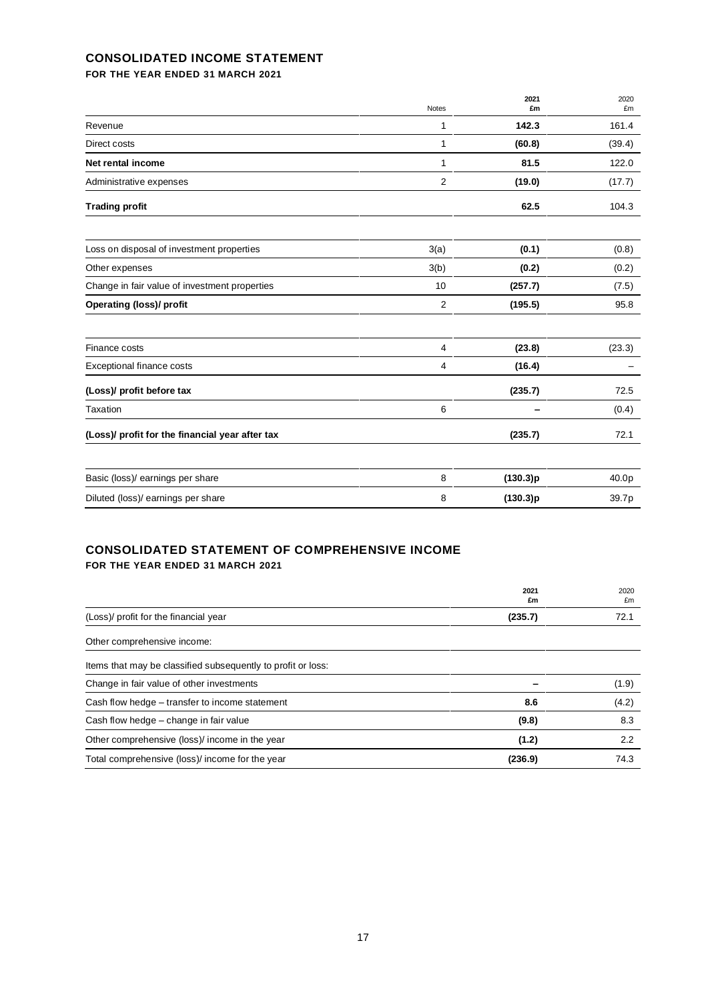## **CONSOLIDATED INCOME STATEMENT**

**FOR THE YEAR ENDED 31 MARCH 2021**

|                                                 | Notes | 2021<br>£m | 2020<br>£m |
|-------------------------------------------------|-------|------------|------------|
| Revenue                                         | 1     | 142.3      | 161.4      |
| Direct costs                                    | 1     | (60.8)     | (39.4)     |
| Net rental income                               | 1     | 81.5       | 122.0      |
| Administrative expenses                         | 2     | (19.0)     | (17.7)     |
| <b>Trading profit</b>                           |       | 62.5       | 104.3      |
| Loss on disposal of investment properties       | 3(a)  | (0.1)      | (0.8)      |
| Other expenses                                  | 3(b)  | (0.2)      | (0.2)      |
| Change in fair value of investment properties   | 10    | (257.7)    | (7.5)      |
| <b>Operating (loss)/ profit</b>                 | 2     | (195.5)    | 95.8       |
| Finance costs                                   | 4     | (23.8)     | (23.3)     |
| Exceptional finance costs                       | 4     | (16.4)     |            |
| (Loss)/ profit before tax                       |       | (235.7)    | 72.5       |
| Taxation                                        | 6     |            | (0.4)      |
| (Loss)/ profit for the financial year after tax |       | (235.7)    | 72.1       |
| Basic (loss)/ earnings per share                | 8     | (130.3)p   | 40.0p      |
| Diluted (loss)/ earnings per share              | 8     | (130.3)p   | 39.7p      |

### **CONSOLIDATED STATEMENT OF COMPREHENSIVE INCOME FOR THE YEAR ENDED 31 MARCH 2021**

|                                                              | 2021<br>£m | 2020<br>£m |
|--------------------------------------------------------------|------------|------------|
| (Loss)/ profit for the financial year                        | (235.7)    | 72.1       |
| Other comprehensive income:                                  |            |            |
| Items that may be classified subsequently to profit or loss: |            |            |
| Change in fair value of other investments                    |            | (1.9)      |
| Cash flow hedge – transfer to income statement               | 8.6        | (4.2)      |
| Cash flow hedge – change in fair value                       | (9.8)      | 8.3        |
| Other comprehensive (loss)/ income in the year               | (1.2)      | 2.2        |
| Total comprehensive (loss)/ income for the year              | (236.9)    | 74.3       |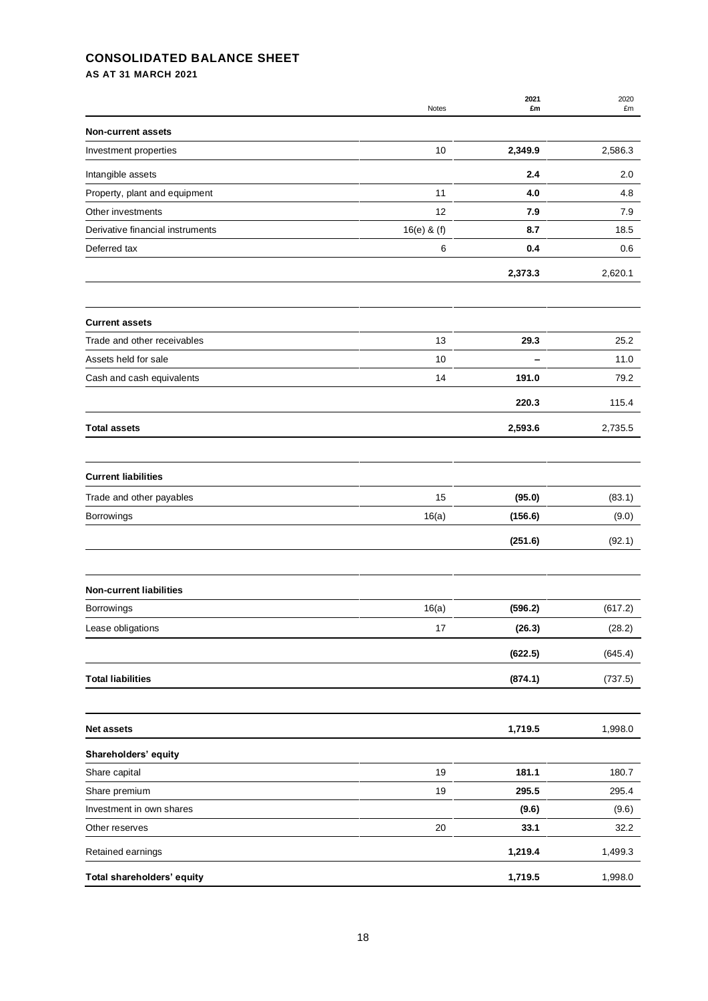### **CONSOLIDATED BALANCE SHEET**

**AS AT 31 MARCH 2021**

|                                  | Notes         | 2021<br>£m | 2020<br>£m |
|----------------------------------|---------------|------------|------------|
| <b>Non-current assets</b>        |               |            |            |
| Investment properties            | 10            | 2,349.9    | 2,586.3    |
| Intangible assets                |               | 2.4        | 2.0        |
| Property, plant and equipment    | 11            | 4.0        | 4.8        |
| Other investments                | 12            | 7.9        | 7.9        |
| Derivative financial instruments | $16(e)$ & (f) | 8.7        | 18.5       |
| Deferred tax                     | 6             | 0.4        | 0.6        |
|                                  |               | 2,373.3    | 2,620.1    |
| <b>Current assets</b>            |               |            |            |
| Trade and other receivables      | 13            | 29.3       | 25.2       |
| Assets held for sale             | 10            |            | 11.0       |
| Cash and cash equivalents        | 14            | 191.0      | 79.2       |
|                                  |               | 220.3      | 115.4      |
| <b>Total assets</b>              |               | 2,593.6    | 2,735.5    |
|                                  |               |            |            |
| <b>Current liabilities</b>       |               |            |            |
| Trade and other payables         | 15            | (95.0)     | (83.1)     |
| Borrowings                       | 16(a)         | (156.6)    | (9.0)      |
|                                  |               | (251.6)    | (92.1)     |
| <b>Non-current liabilities</b>   |               |            |            |
|                                  |               |            |            |
| <b>Borrowings</b>                | 16(a)         | (596.2)    | (617.2)    |
| Lease obligations                | 17            | (26.3)     | (28.2)     |
|                                  |               | (622.5)    | (645.4)    |
| <b>Total liabilities</b>         |               | (874.1)    | (737.5)    |
| <b>Net assets</b>                |               | 1,719.5    | 1,998.0    |
| Shareholders' equity             |               |            |            |
| Share capital                    | 19            | 181.1      | 180.7      |
| Share premium                    | 19            | 295.5      | 295.4      |
| Investment in own shares         |               | (9.6)      | (9.6)      |
| Other reserves                   | 20            | 33.1       | 32.2       |
| Retained earnings                |               | 1,219.4    | 1,499.3    |
| Total shareholders' equity       |               | 1,719.5    | 1,998.0    |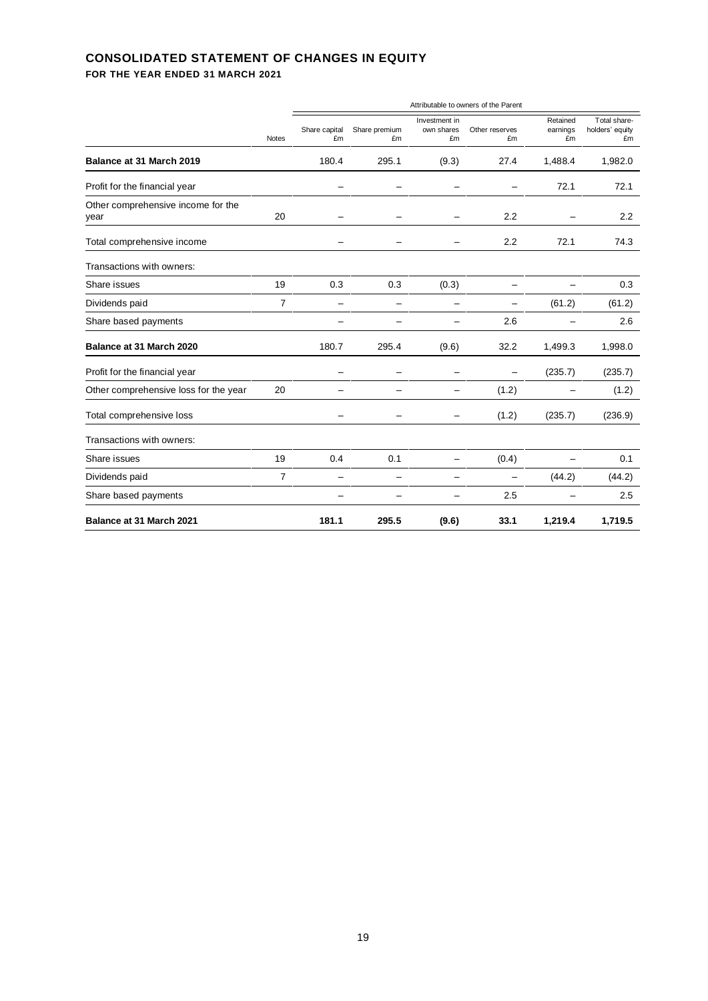## **CONSOLIDATED STATEMENT OF CHANGES IN EQUITY**

**FOR THE YEAR ENDED 31 MARCH 2021**

|                                            | <b>Notes</b>   | Attributable to owners of the Parent |                     |                                   |                      |                            |                                       |
|--------------------------------------------|----------------|--------------------------------------|---------------------|-----------------------------------|----------------------|----------------------------|---------------------------------------|
|                                            |                | Share capital<br>£m                  | Share premium<br>£m | Investment in<br>own shares<br>£m | Other reserves<br>£m | Retained<br>earnings<br>£m | Total share-<br>holders' equity<br>£m |
| Balance at 31 March 2019                   |                | 180.4                                | 295.1               | (9.3)                             | 27.4                 | 1,488.4                    | 1,982.0                               |
| Profit for the financial year              |                |                                      |                     |                                   |                      | 72.1                       | 72.1                                  |
| Other comprehensive income for the<br>year | 20             | -                                    |                     |                                   | 2.2                  |                            | 2.2                                   |
| Total comprehensive income                 |                |                                      |                     |                                   | 2.2                  | 72.1                       | 74.3                                  |
| Transactions with owners:                  |                |                                      |                     |                                   |                      |                            |                                       |
| Share issues                               | 19             | 0.3                                  | 0.3                 | (0.3)                             | —                    |                            | 0.3                                   |
| Dividends paid                             | $\overline{7}$ | —                                    |                     |                                   |                      | (61.2)                     | (61.2)                                |
| Share based payments                       |                |                                      |                     |                                   | 2.6                  |                            | 2.6                                   |
| Balance at 31 March 2020                   |                | 180.7                                | 295.4               | (9.6)                             | 32.2                 | 1,499.3                    | 1,998.0                               |
| Profit for the financial year              |                |                                      |                     |                                   |                      | (235.7)                    | (235.7)                               |
| Other comprehensive loss for the year      | 20             |                                      |                     |                                   | (1.2)                | $\overline{\phantom{0}}$   | (1.2)                                 |
| Total comprehensive loss                   |                |                                      |                     |                                   | (1.2)                | (235.7)                    | (236.9)                               |
| Transactions with owners:                  |                |                                      |                     |                                   |                      |                            |                                       |
| Share issues                               | 19             | 0.4                                  | 0.1                 | $\overline{\phantom{0}}$          | (0.4)                | $\overline{\phantom{0}}$   | 0.1                                   |
| Dividends paid                             | $\overline{7}$ |                                      |                     |                                   |                      | (44.2)                     | (44.2)                                |
| Share based payments                       |                |                                      |                     |                                   | 2.5                  |                            | 2.5                                   |
| Balance at 31 March 2021                   |                | 181.1                                | 295.5               | (9.6)                             | 33.1                 | 1,219.4                    | 1,719.5                               |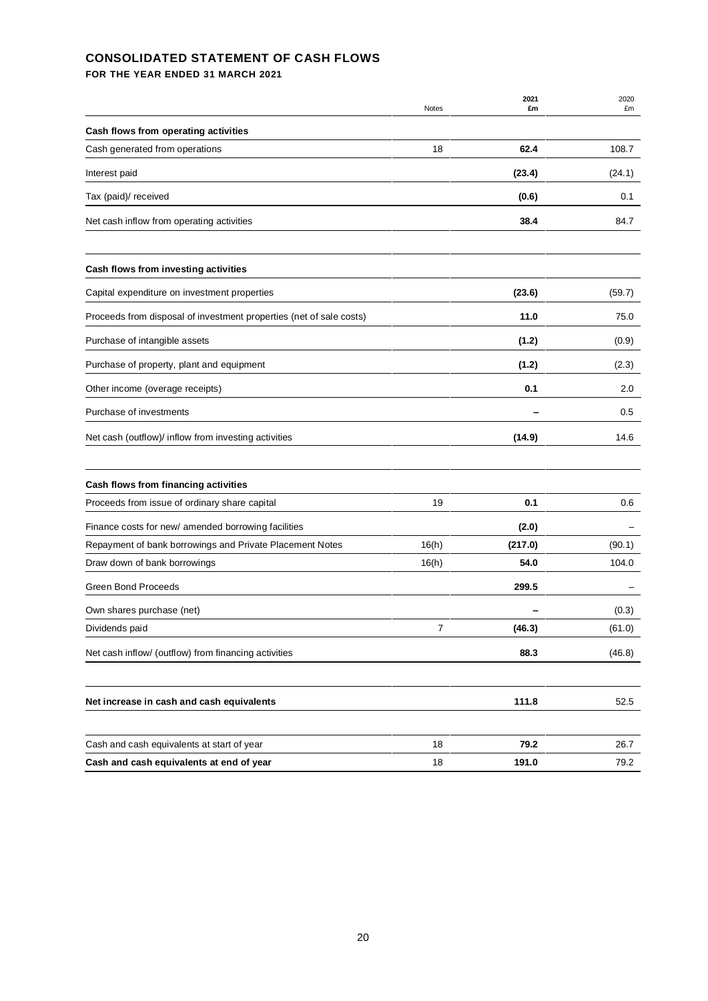### **CONSOLIDATED STATEMENT OF CASH FLOWS**

**FOR THE YEAR ENDED 31 MARCH 2021**

|                                                                     | Notes | 2021<br>£m | 2020<br>£m |
|---------------------------------------------------------------------|-------|------------|------------|
| Cash flows from operating activities                                |       |            |            |
| Cash generated from operations                                      | 18    | 62.4       | 108.7      |
| Interest paid                                                       |       | (23.4)     | (24.1)     |
| Tax (paid)/ received                                                |       | (0.6)      | 0.1        |
| Net cash inflow from operating activities                           |       | 38.4       | 84.7       |
| Cash flows from investing activities                                |       |            |            |
| Capital expenditure on investment properties                        |       | (23.6)     | (59.7)     |
| Proceeds from disposal of investment properties (net of sale costs) |       | 11.0       | 75.0       |
| Purchase of intangible assets                                       |       | (1.2)      | (0.9)      |
| Purchase of property, plant and equipment                           |       | (1.2)      | (2.3)      |
| Other income (overage receipts)                                     |       | 0.1        | 2.0        |
| Purchase of investments                                             |       |            | 0.5        |
| Net cash (outflow)/ inflow from investing activities                |       | (14.9)     | 14.6       |
| Cash flows from financing activities                                |       |            |            |
| Proceeds from issue of ordinary share capital                       | 19    | 0.1        | 0.6        |
| Finance costs for new/ amended borrowing facilities                 |       | (2.0)      |            |
| Repayment of bank borrowings and Private Placement Notes            | 16(h) | (217.0)    | (90.1)     |
| Draw down of bank borrowings                                        | 16(h) | 54.0       | 104.0      |
| <b>Green Bond Proceeds</b>                                          |       | 299.5      |            |
| Own shares purchase (net)                                           |       |            | (0.3)      |
| Dividends paid                                                      | 7     | (46.3)     | (61.0)     |
| Net cash inflow/ (outflow) from financing activities                |       | 88.3       | (46.8)     |
| Net increase in cash and cash equivalents                           |       | 111.8      | 52.5       |
|                                                                     |       |            |            |
| Cash and cash equivalents at start of year                          | 18    | 79.2       | 26.7       |
| Cash and cash equivalents at end of year                            | 18    | 191.0      | 79.2       |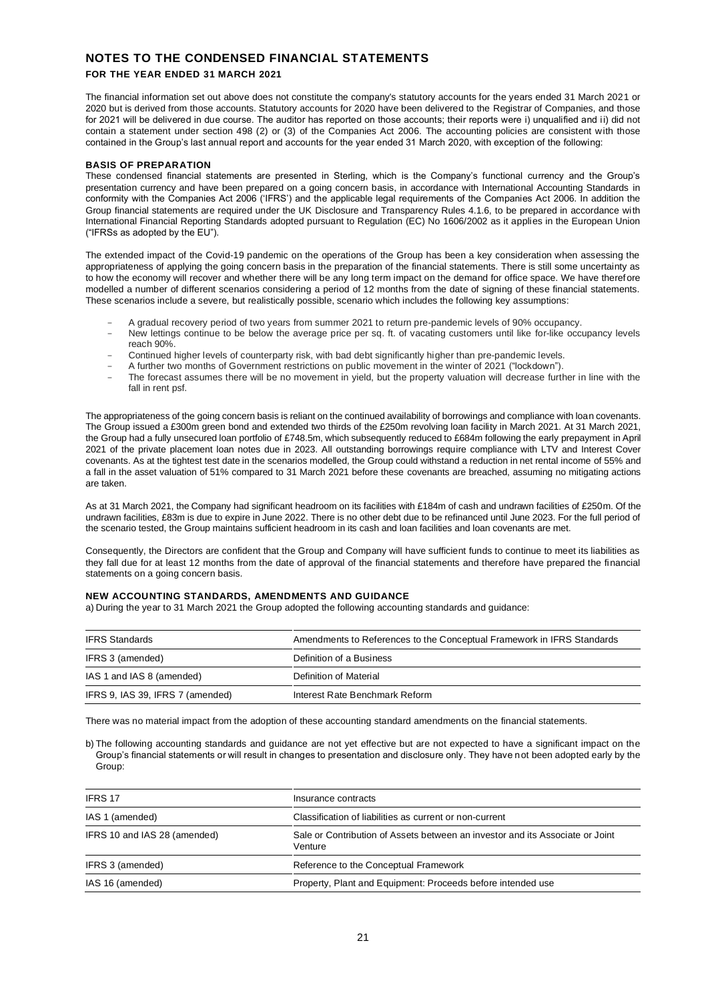### **NOTES TO THE CONDENSED FINANCIAL STATEMENTS**

### **FOR THE YEAR ENDED 31 MARCH 2021**

The financial information set out above does not constitute the company's statutory accounts for the years ended 31 March 2021 or 2020 but is derived from those accounts. Statutory accounts for 2020 have been delivered to the Registrar of Companies, and those for 2021 will be delivered in due course. The auditor has reported on those accounts; their reports were i) unqualified and ii) did not contain a statement under section 498 (2) or (3) of the Companies Act 2006. The accounting policies are consistent with those contained in the Group's last annual report and accounts for the year ended 31 March 2020, with exception of the following:

### **BASIS OF PREPARATION**

These condensed financial statements are presented in Sterling, which is the Company's functional currency and the Group's presentation currency and have been prepared on a going concern basis, in accordance with International Accounting Standards in conformity with the Companies Act 2006 ('IFRS') and the applicable legal requirements of the Companies Act 2006. In addition the Group financial statements are required under the UK Disclosure and Transparency Rules 4.1.6, to be prepared in accordance with International Financial Reporting Standards adopted pursuant to Regulation (EC) No 1606/2002 as it applies in the European Union ("IFRSs as adopted by the EU").

The extended impact of the Covid-19 pandemic on the operations of the Group has been a key consideration when assessing the appropriateness of applying the going concern basis in the preparation of the financial statements. There is still some uncertainty as to how the economy will recover and whether there will be any long term impact on the demand for office space. We have therefore modelled a number of different scenarios considering a period of 12 months from the date of signing of these financial statements. These scenarios include a severe, but realistically possible, scenario which includes the following key assumptions:

- A gradual recovery period of two years from summer 2021 to return pre-pandemic levels of 90% occupancy.
- New lettings continue to be below the average price per sq. ft. of vacating customers until like for-like occupancy levels reach 90%.
- Continued higher levels of counterparty risk, with bad debt significantly higher than pre-pandemic levels.
- A further two months of Government restrictions on public movement in the winter of 2021 ("lockdown").
- The forecast assumes there will be no movement in yield, but the property valuation will decrease further in line with the fall in rent psf.

The appropriateness of the going concern basis is reliant on the continued availability of borrowings and compliance with loan covenants. The Group issued a £300m green bond and extended two thirds of the £250m revolving loan facility in March 2021. At 31 March 2021, the Group had a fully unsecured loan portfolio of £748.5m, which subsequently reduced to £684m following the early prepayment in April 2021 of the private placement loan notes due in 2023. All outstanding borrowings require compliance with LTV and Interest Cover covenants. As at the tightest test date in the scenarios modelled, the Group could withstand a reduction in net rental income of 55% and a fall in the asset valuation of 51% compared to 31 March 2021 before these covenants are breached, assuming no mitigating actions are taken.

As at 31 March 2021, the Company had significant headroom on its facilities with £184m of cash and undrawn facilities of £250m. Of the undrawn facilities, £83m is due to expire in June 2022. There is no other debt due to be refinanced until June 2023. For the full period of the scenario tested, the Group maintains sufficient headroom in its cash and loan facilities and loan covenants are met.

Consequently, the Directors are confident that the Group and Company will have sufficient funds to continue to meet its liabilities as they fall due for at least 12 months from the date of approval of the financial statements and therefore have prepared the financial statements on a going concern basis.

#### **NEW ACCOUNTING STANDARDS, AMENDMENTS AND GUIDANCE**

a) During the year to 31 March 2021 the Group adopted the following accounting standards and guidance:

| <b>IFRS Standards</b>            | Amendments to References to the Conceptual Framework in IFRS Standards |
|----------------------------------|------------------------------------------------------------------------|
| IFRS 3 (amended)                 | Definition of a Business                                               |
| IAS 1 and IAS 8 (amended)        | Definition of Material                                                 |
| IFRS 9, IAS 39, IFRS 7 (amended) | Interest Rate Benchmark Reform                                         |

There was no material impact from the adoption of these accounting standard amendments on the financial statements.

b) The following accounting standards and guidance are not yet effective but are not expected to have a significant impact on the Group's financial statements or will result in changes to presentation and disclosure only. They have not been adopted early by the Group:

| <b>IFRS 17</b>               | Insurance contracts                                                                      |
|------------------------------|------------------------------------------------------------------------------------------|
| IAS 1 (amended)              | Classification of liabilities as current or non-current                                  |
| IFRS 10 and IAS 28 (amended) | Sale or Contribution of Assets between an investor and its Associate or Joint<br>Venture |
| IFRS 3 (amended)             | Reference to the Conceptual Framework                                                    |
| IAS 16 (amended)             | Property, Plant and Equipment: Proceeds before intended use                              |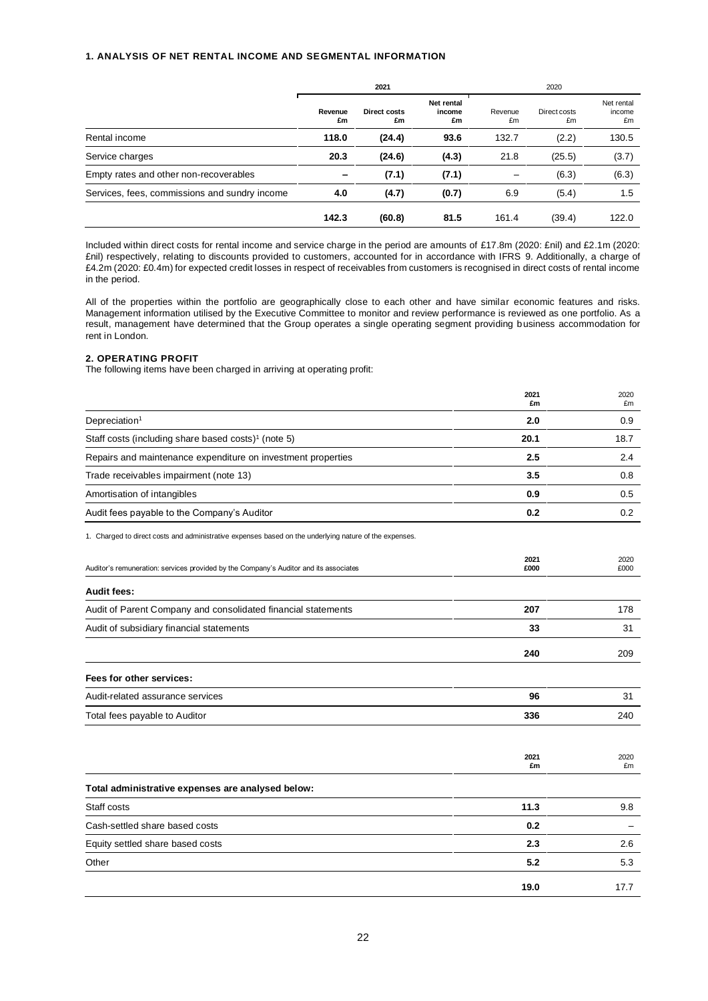#### **1. ANALYSIS OF NET RENTAL INCOME AND SEGMENTAL INFORMATION**

|                                               | 2021          |                    | 2020                       |               |                    |                            |
|-----------------------------------------------|---------------|--------------------|----------------------------|---------------|--------------------|----------------------------|
|                                               | Revenue<br>£m | Direct costs<br>£m | Net rental<br>income<br>£m | Revenue<br>£m | Direct costs<br>£m | Net rental<br>income<br>£m |
| Rental income                                 | 118.0         | (24.4)             | 93.6                       | 132.7         | (2.2)              | 130.5                      |
| Service charges                               | 20.3          | (24.6)             | (4.3)                      | 21.8          | (25.5)             | (3.7)                      |
| Empty rates and other non-recoverables        |               | (7.1)              | (7.1)                      |               | (6.3)              | (6.3)                      |
| Services, fees, commissions and sundry income | 4.0           | (4.7)              | (0.7)                      | 6.9           | (5.4)              | 1.5                        |
|                                               | 142.3         | (60.8)             | 81.5                       | 161.4         | (39.4)             | 122.0                      |

Included within direct costs for rental income and service charge in the period are amounts of £17.8m (2020: £nil) and £2.1m (2020: £nil) respectively, relating to discounts provided to customers, accounted for in accordance with IFRS 9. Additionally, a charge of £4.2m (2020: £0.4m) for expected credit losses in respect of receivables from customers is recognised in direct costs of rental income in the period.

All of the properties within the portfolio are geographically close to each other and have similar economic features and risks. Management information utilised by the Executive Committee to monitor and review performance is reviewed as one portfolio. As a result, management have determined that the Group operates a single operating segment providing business accommodation for rent in London.

### **2. OPERATING PROFIT**

The following items have been charged in arriving at operating profit:

|                                                                                                        | 2021<br>£m   | 2020<br>£m   |
|--------------------------------------------------------------------------------------------------------|--------------|--------------|
| Depreciation <sup>1</sup>                                                                              | 2.0          | 0.9          |
| Staff costs (including share based costs) <sup>1</sup> (note 5)                                        | 20.1         | 18.7         |
| Repairs and maintenance expenditure on investment properties                                           | 2.5          | 2.4          |
| Trade receivables impairment (note 13)                                                                 | 3.5          | 0.8          |
| Amortisation of intangibles                                                                            | 0.9          | 0.5          |
| Audit fees payable to the Company's Auditor                                                            | 0.2          | 0.2          |
| 1. Charged to direct costs and administrative expenses based on the underlying nature of the expenses. |              |              |
| Auditor's remuneration: services provided by the Company's Auditor and its associates                  | 2021<br>£000 | 2020<br>£000 |
| Audit fees:                                                                                            |              |              |
| Audit of Parent Company and consolidated financial statements                                          | 207          | 178          |
| Audit of subsidiary financial statements                                                               | 33           | 31           |
|                                                                                                        | 240          | 209          |
| Fees for other services:                                                                               |              |              |
| Audit-related assurance services                                                                       | 96           | 31           |
| Total fees payable to Auditor                                                                          | 336          | 240          |
|                                                                                                        | 2021<br>£m   | 2020<br>£m   |
| Total administrative expenses are analysed below:                                                      |              |              |
| Staff costs                                                                                            | 11.3         | 9.8          |
| Cash-settled share based costs                                                                         | 0.2          |              |
| Equity settled share based costs                                                                       | 2.3          | 2.6          |
| Other                                                                                                  | 5.2          | 5.3          |
|                                                                                                        | 19.0         | 17.7         |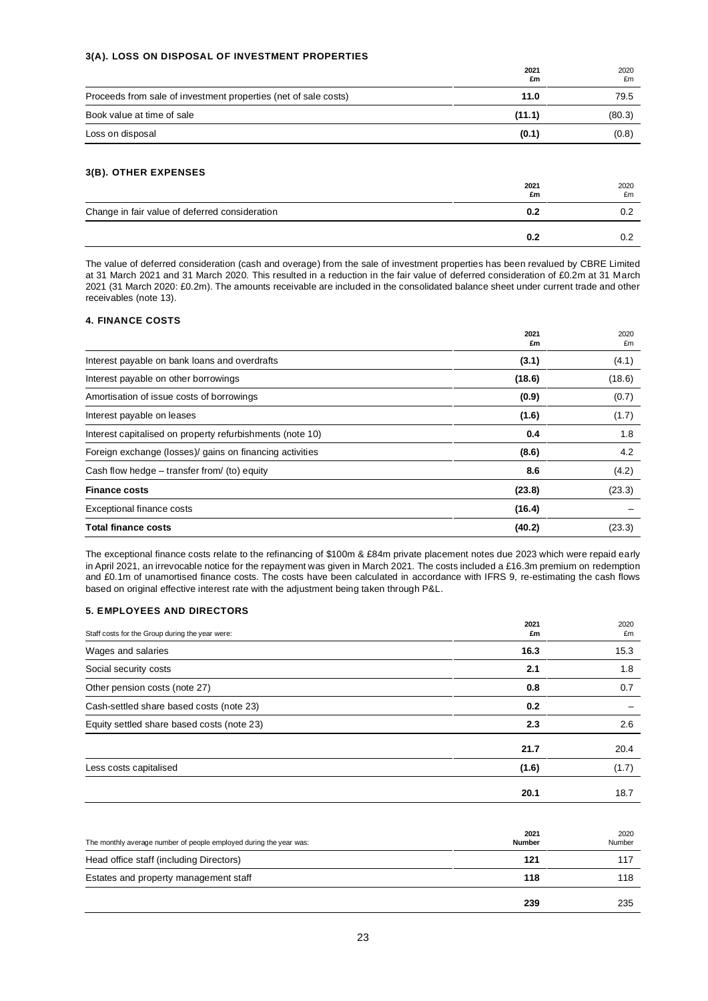#### **3(A). LOSS ON DISPOSAL OF INVESTMENT PROPERTIES**

|                                                                 | 2021<br>£m | 2020<br>£m |
|-----------------------------------------------------------------|------------|------------|
| Proceeds from sale of investment properties (net of sale costs) | 11.0       | 79.5       |
| Book value at time of sale                                      | (11.1)     | (80.3)     |
| Loss on disposal                                                | (0.1)      | (0.8)      |

### **3(B). OTHER EXPENSES**

|                                                | 2021<br>£m | 2020<br>£m |
|------------------------------------------------|------------|------------|
| Change in fair value of deferred consideration | 0.2        |            |
|                                                | 0.2        |            |

The value of deferred consideration (cash and overage) from the sale of investment properties has been revalued by CBRE Limited at 31 March 2021 and 31 March 2020. This resulted in a reduction in the fair value of deferred consideration of £0.2m at 31 March 2021 (31 March 2020: £0.2m). The amounts receivable are included in the consolidated balance sheet under current trade and other receivables (note 13).

### **4. FINANCE COSTS**

|                                                           | 2021<br>£m | 2020<br>£m |
|-----------------------------------------------------------|------------|------------|
| Interest payable on bank loans and overdrafts             | (3.1)      | (4.1)      |
| Interest payable on other borrowings                      | (18.6)     | (18.6)     |
| Amortisation of issue costs of borrowings                 | (0.9)      | (0.7)      |
| Interest payable on leases                                | (1.6)      | (1.7)      |
| Interest capitalised on property refurbishments (note 10) | 0.4        | 1.8        |
| Foreign exchange (losses)/ gains on financing activities  | (8.6)      | 4.2        |
| Cash flow hedge – transfer from/ (to) equity              | 8.6        | (4.2)      |
| <b>Finance costs</b>                                      | (23.8)     | (23.3)     |
| Exceptional finance costs                                 | (16.4)     |            |
| Total finance costs                                       | (40.2)     | (23.3)     |

The exceptional finance costs relate to the refinancing of \$100m & £84m private placement notes due 2023 which were repaid early in April 2021, an irrevocable notice for the repayment was given in March 2021. The costs included a £16.3m premium on redemption and £0.1m of unamortised finance costs. The costs have been calculated in accordance with IFRS 9, re-estimating the cash flows based on original effective interest rate with the adjustment being taken through P&L.

#### **5. EMPLOYEES AND DIRECTORS**

| Staff costs for the Group during the year were: | 2021<br>£m | 2020<br>£m |
|-------------------------------------------------|------------|------------|
| Wages and salaries                              | 16.3       | 15.3       |
| Social security costs                           | 2.1        | 1.8        |
| Other pension costs (note 27)                   | 0.8        | 0.7        |
| Cash-settled share based costs (note 23)        | 0.2        |            |
| Equity settled share based costs (note 23)      | 2.3        | 2.6        |
|                                                 | 21.7       | 20.4       |
| Less costs capitalised                          | (1.6)      | (1.7)      |
|                                                 | 20.1       | 18.7       |

| The monthly average number of people employed during the year was: | 2021<br><b>Number</b> | 2020<br>Number |
|--------------------------------------------------------------------|-----------------------|----------------|
| Head office staff (including Directors)                            | 121                   | 117            |
| Estates and property management staff                              | 118                   | 118            |
|                                                                    | 239                   | 235            |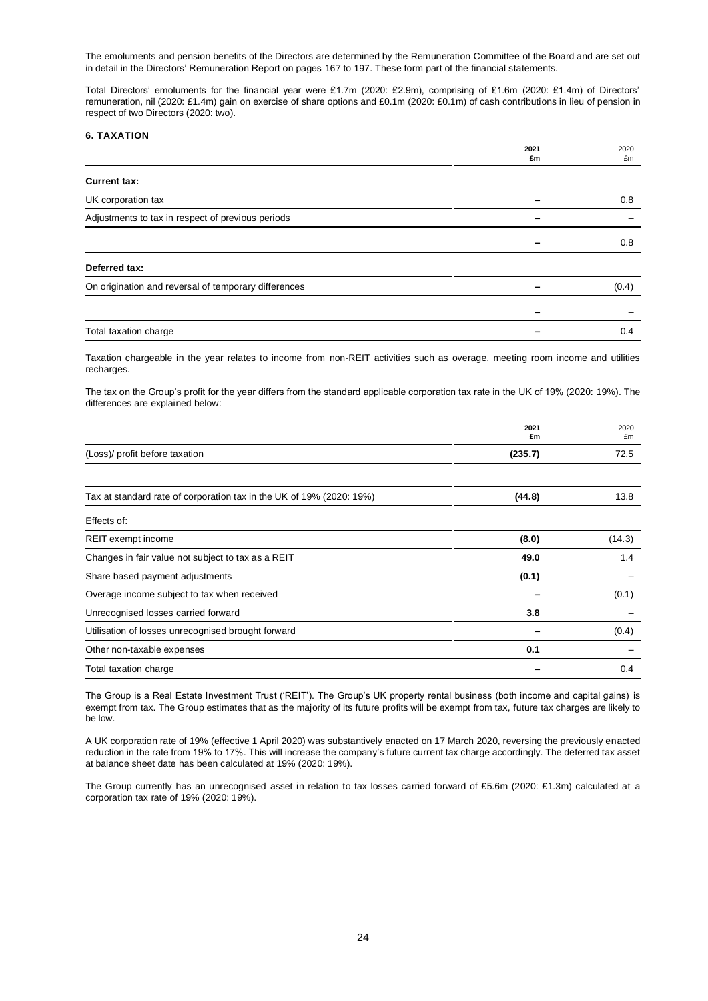The emoluments and pension benefits of the Directors are determined by the Remuneration Committee of the Board and are set out in detail in the Directors' Remuneration Report on pages 167 to 197. These form part of the financial statements.

Total Directors' emoluments for the financial year were £1.7m (2020: £2.9m), comprising of £1.6m (2020: £1.4m) of Directors' remuneration, nil (2020: £1.4m) gain on exercise of share options and £0.1m (2020: £0.1m) of cash contributions in lieu of pension in respect of two Directors (2020: two).

### **6. TAXATION**

|                                                      | 2021<br>£m | 2020<br>£m |
|------------------------------------------------------|------------|------------|
| <b>Current tax:</b>                                  |            |            |
| UK corporation tax                                   |            | 0.8        |
| Adjustments to tax in respect of previous periods    |            |            |
|                                                      |            | 0.8        |
| Deferred tax:                                        |            |            |
| On origination and reversal of temporary differences |            | (0.4)      |
|                                                      |            |            |
| Total taxation charge                                |            | 0.4        |

Taxation chargeable in the year relates to income from non-REIT activities such as overage, meeting room income and utilities recharges.

The tax on the Group's profit for the year differs from the standard applicable corporation tax rate in the UK of 19% (2020: 19%). The differences are explained below:

|                                                                      | 2021<br>£m | 2020<br>£m |
|----------------------------------------------------------------------|------------|------------|
| (Loss)/ profit before taxation                                       | (235.7)    | 72.5       |
| Tax at standard rate of corporation tax in the UK of 19% (2020: 19%) | (44.8)     | 13.8       |
| Effects of:                                                          |            |            |
| REIT exempt income                                                   | (8.0)      | (14.3)     |
| Changes in fair value not subject to tax as a REIT                   | 49.0       | 1.4        |
| Share based payment adjustments                                      | (0.1)      |            |
| Overage income subject to tax when received                          |            | (0.1)      |
| Unrecognised losses carried forward                                  | 3.8        |            |
| Utilisation of losses unrecognised brought forward                   |            | (0.4)      |
| Other non-taxable expenses                                           | 0.1        |            |
| Total taxation charge                                                |            | 0.4        |

The Group is a Real Estate Investment Trust ('REIT'). The Group's UK property rental business (both income and capital gains) is exempt from tax. The Group estimates that as the majority of its future profits will be exempt from tax, future tax charges are likely to be low.

A UK corporation rate of 19% (effective 1 April 2020) was substantively enacted on 17 March 2020, reversing the previously enacted reduction in the rate from 19% to 17%. This will increase the company's future current tax charge accordingly. The deferred tax asset at balance sheet date has been calculated at 19% (2020: 19%).

The Group currently has an unrecognised asset in relation to tax losses carried forward of £5.6m (2020: £1.3m) calculated at a corporation tax rate of 19% (2020: 19%).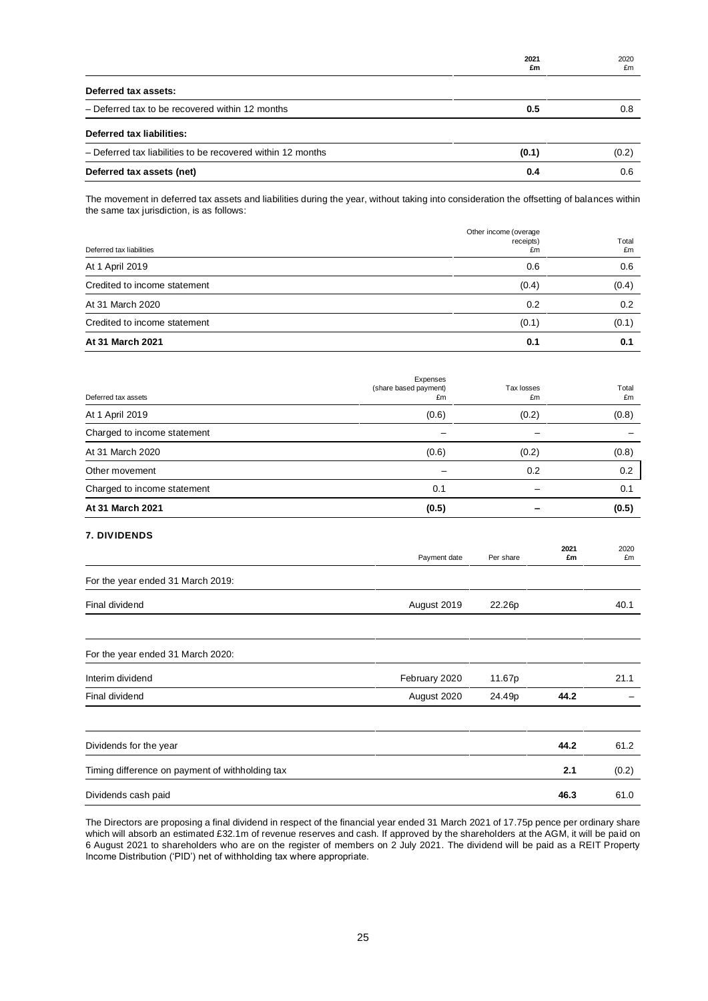|                                                             | 2021<br>£m | 2020<br>£m |
|-------------------------------------------------------------|------------|------------|
| Deferred tax assets:                                        |            |            |
| - Deferred tax to be recovered within 12 months             | 0.5        | 0.8        |
| Deferred tax liabilities:                                   |            |            |
| - Deferred tax liabilities to be recovered within 12 months | (0.1)      | (0.2)      |
| Deferred tax assets (net)                                   | 0.4        | 0.6        |

The movement in deferred tax assets and liabilities during the year, without taking into consideration the offsetting of balances within the same tax jurisdiction, is as follows:

| Deferred tax liabilities     | Other income (overage<br>receipts)<br>£m | Total<br>£m |
|------------------------------|------------------------------------------|-------------|
| At 1 April 2019              | 0.6                                      | 0.6         |
| Credited to income statement | (0.4)                                    | (0.4)       |
| At 31 March 2020             | 0.2                                      | 0.2         |
| Credited to income statement | (0.1)                                    | (0.1)       |
| At 31 March 2021             | 0.1                                      | 0.1         |

| Deferred tax assets         | Expenses<br>(share based payment)<br>£m | Tax losses<br>£m | Total<br>£m |
|-----------------------------|-----------------------------------------|------------------|-------------|
| At 1 April 2019             | (0.6)                                   | (0.2)            | (0.8)       |
| Charged to income statement |                                         |                  |             |
| At 31 March 2020            | (0.6)                                   | (0.2)            | (0.8)       |
| Other movement              |                                         | 0.2              | 0.2         |
| Charged to income statement | 0.1                                     |                  | 0.1         |
| At 31 March 2021            | (0.5)                                   |                  | (0.5)       |

### **7. DIVIDENDS**

|                                                 | Payment date  | Per share | 2021<br>£m | 2020<br>£m |
|-------------------------------------------------|---------------|-----------|------------|------------|
| For the year ended 31 March 2019:               |               |           |            |            |
| Final dividend                                  | August 2019   | 22.26p    |            | 40.1       |
| For the year ended 31 March 2020:               |               |           |            |            |
| Interim dividend                                | February 2020 | 11.67p    |            | 21.1       |
| Final dividend                                  | August 2020   | 24.49p    | 44.2       |            |
| Dividends for the year                          |               |           | 44.2       | 61.2       |
| Timing difference on payment of withholding tax |               |           | 2.1        | (0.2)      |
| Dividends cash paid                             |               |           | 46.3       | 61.0       |

The Directors are proposing a final dividend in respect of the financial year ended 31 March 2021 of 17.75p pence per ordinary share which will absorb an estimated £32.1m of revenue reserves and cash. If approved by the shareholders at the AGM, it will be paid on 6 August 2021 to shareholders who are on the register of members on 2 July 2021. The dividend will be paid as a REIT Property Income Distribution ('PID') net of withholding tax where appropriate.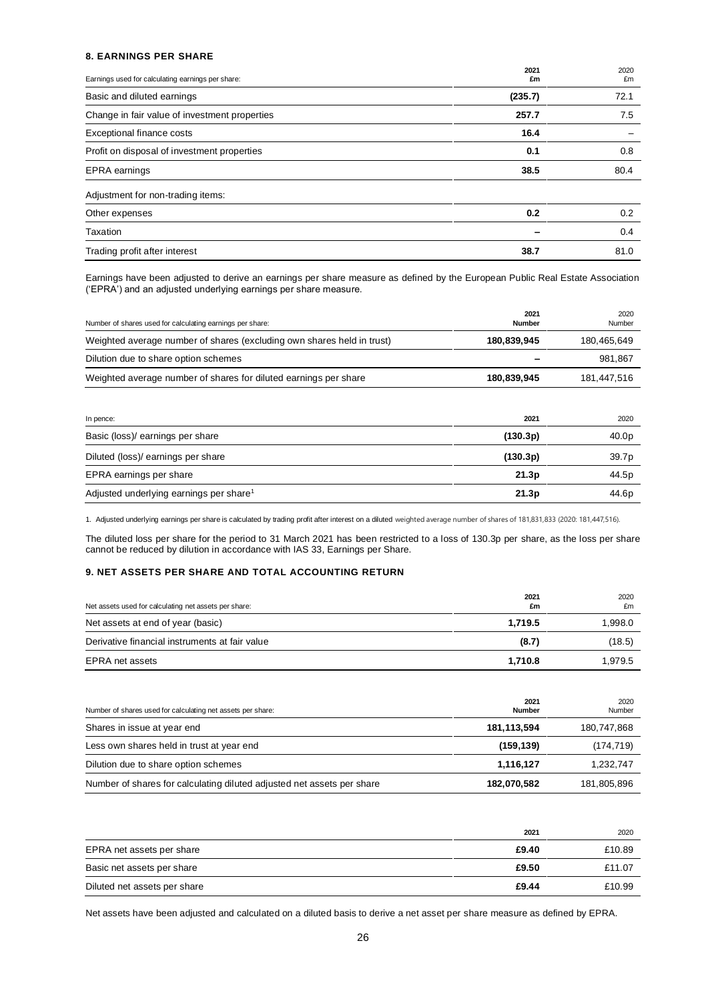#### **8. EARNINGS PER SHARE**

| Earnings used for calculating earnings per share: | 2021<br>£m | 2020<br>£m |
|---------------------------------------------------|------------|------------|
| Basic and diluted earnings                        | (235.7)    | 72.1       |
| Change in fair value of investment properties     | 257.7      | 7.5        |
| Exceptional finance costs                         | 16.4       |            |
| Profit on disposal of investment properties       | 0.1        | 0.8        |
| EPRA earnings                                     | 38.5       | 80.4       |
| Adjustment for non-trading items:                 |            |            |
| Other expenses                                    | 0.2        | 0.2        |
| Taxation                                          |            | 0.4        |
| Trading profit after interest                     | 38.7       | 81.0       |

Earnings have been adjusted to derive an earnings per share measure as defined by the European Public Real Estate Association ('EPRA') and an adjusted underlying earnings per share measure.

| Number of shares used for calculating earnings per share:              | 2021<br>Number | 2020<br>Number |
|------------------------------------------------------------------------|----------------|----------------|
| Weighted average number of shares (excluding own shares held in trust) | 180,839,945    | 180,465,649    |
| Dilution due to share option schemes                                   |                | 981,867        |
| Weighted average number of shares for diluted earnings per share       | 180,839,945    | 181.447.516    |
|                                                                        |                |                |

| In pence:                                           | 2021     | 2020  |
|-----------------------------------------------------|----------|-------|
| Basic (loss)/ earnings per share                    | (130.3p) | 40.0p |
| Diluted (loss)/ earnings per share                  | (130.3p) | 39.7p |
| EPRA earnings per share                             | 21.3p    | 44.5p |
| Adjusted underlying earnings per share <sup>1</sup> | 21.3p    | 44.6p |

1. Adjusted underlying earnings per share is calculated by trading profit after interest on a diluted weighted average number of shares of 181,831,833 (2020: 181,447,516).

The diluted loss per share for the period to 31 March 2021 has been restricted to a loss of 130.3p per share, as the loss per share cannot be reduced by dilution in accordance with IAS 33, Earnings per Share.

### **9. NET ASSETS PER SHARE AND TOTAL ACCOUNTING RETURN**

| Net assets used for calculating net assets per share: | 2021<br>£m | 2020<br>£m |
|-------------------------------------------------------|------------|------------|
| Net assets at end of year (basic)                     | 1.719.5    | 1,998.0    |
| Derivative financial instruments at fair value        | (8.7)      | (18.5)     |
| EPRA net assets                                       | 1.710.8    | 1.979.5    |

| Number of shares used for calculating net assets per share:            | 2021<br><b>Number</b> | 2020<br>Number |
|------------------------------------------------------------------------|-----------------------|----------------|
| Shares in issue at year end                                            | 181,113,594           | 180,747,868    |
| Less own shares held in trust at year end                              | (159, 139)            | (174, 719)     |
| Dilution due to share option schemes                                   | 1.116.127             | 1,232,747      |
| Number of shares for calculating diluted adjusted net assets per share | 182,070,582           | 181,805,896    |

|                              | 2021  | 2020   |
|------------------------------|-------|--------|
| EPRA net assets per share    | £9.40 | £10.89 |
| Basic net assets per share   | £9.50 | £11.07 |
| Diluted net assets per share | £9.44 | £10.99 |

Net assets have been adjusted and calculated on a diluted basis to derive a net asset per share measure as defined by EPRA.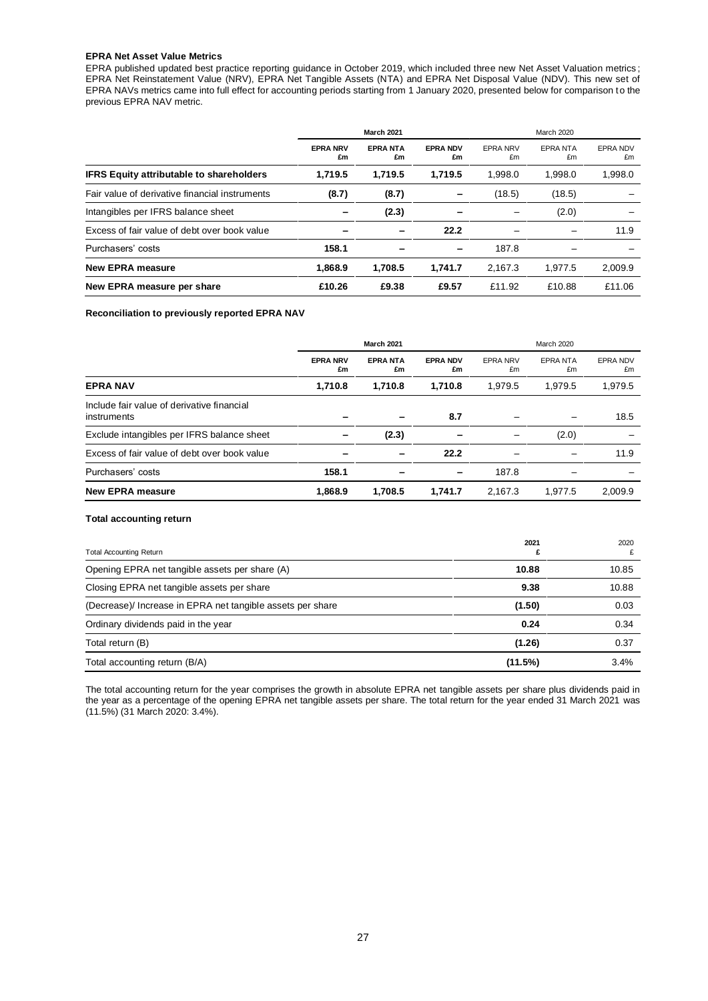#### **EPRA Net Asset Value Metrics**

EPRA published updated best practice reporting guidance in October 2019, which included three new Net Asset Valuation metrics ; EPRA Net Reinstatement Value (NRV), EPRA Net Tangible Assets (NTA) and EPRA Net Disposal Value (NDV). This new set of EPRA NAVs metrics came into full effect for accounting periods starting from 1 January 2020, presented below for comparison to the previous EPRA NAV metric.

|                                                 | <b>March 2021</b>     |                      |                       |                       | March 2020            |                |
|-------------------------------------------------|-----------------------|----------------------|-----------------------|-----------------------|-----------------------|----------------|
|                                                 | <b>EPRA NRV</b><br>£m | <b>EPRANTA</b><br>£m | <b>EPRA NDV</b><br>£m | <b>EPRA NRV</b><br>£m | <b>EPRA NTA</b><br>£m | EPRA NDV<br>£m |
| <b>IFRS Equity attributable to shareholders</b> | 1,719.5               | 1.719.5              | 1.719.5               | 1.998.0               | 1,998.0               | 1,998.0        |
| Fair value of derivative financial instruments  | (8.7)                 | (8.7)                |                       | (18.5)                | (18.5)                |                |
| Intangibles per IFRS balance sheet              |                       | (2.3)                |                       |                       | (2.0)                 |                |
| Excess of fair value of debt over book value    |                       |                      | 22.2                  |                       |                       | 11.9           |
| Purchasers' costs                               | 158.1                 |                      | -                     | 187.8                 |                       |                |
| <b>New EPRA measure</b>                         | 1,868.9               | 1.708.5              | 1.741.7               | 2,167.3               | 1.977.5               | 2,009.9        |
| New EPRA measure per share                      | £10.26                | £9.38                | £9.57                 | £11.92                | £10.88                | £11.06         |

#### **Reconciliation to previously reported EPRA NAV**

|                                                           |                       | <b>March 2021</b>    |                       |                       | <b>March 2020</b>     |                       |
|-----------------------------------------------------------|-----------------------|----------------------|-----------------------|-----------------------|-----------------------|-----------------------|
|                                                           | <b>EPRA NRV</b><br>£m | <b>EPRANTA</b><br>£m | <b>EPRA NDV</b><br>£m | <b>EPRA NRV</b><br>£m | <b>EPRA NTA</b><br>£m | <b>EPRA NDV</b><br>£m |
| <b>EPRA NAV</b>                                           | 1.710.8               | 1.710.8              | 1.710.8               | 1.979.5               | 1.979.5               | 1,979.5               |
| Include fair value of derivative financial<br>instruments |                       |                      | 8.7                   |                       |                       | 18.5                  |
| Exclude intangibles per IFRS balance sheet                |                       | (2.3)                |                       |                       | (2.0)                 |                       |
| Excess of fair value of debt over book value              |                       | -                    | 22.2                  |                       |                       | 11.9                  |
| Purchasers' costs                                         | 158.1                 |                      | -                     | 187.8                 |                       |                       |
| <b>New EPRA measure</b>                                   | 1.868.9               | 1.708.5              | 1.741.7               | 2.167.3               | 1.977.5               | 2.009.9               |

#### **Total accounting return**

| <b>Total Accounting Return</b>                             | 2021    | 2020  |
|------------------------------------------------------------|---------|-------|
| Opening EPRA net tangible assets per share (A)             | 10.88   | 10.85 |
| Closing EPRA net tangible assets per share                 | 9.38    | 10.88 |
| (Decrease)/ Increase in EPRA net tangible assets per share | (1.50)  | 0.03  |
| Ordinary dividends paid in the year                        | 0.24    | 0.34  |
| Total return (B)                                           | (1.26)  | 0.37  |
| Total accounting return (B/A)                              | (11.5%) | 3.4%  |

The total accounting return for the year comprises the growth in absolute EPRA net tangible assets per share plus dividends paid in the year as a percentage of the opening EPRA net tangible assets per share. The total return for the year ended 31 March 2021 was (11.5%) (31 March 2020: 3.4%).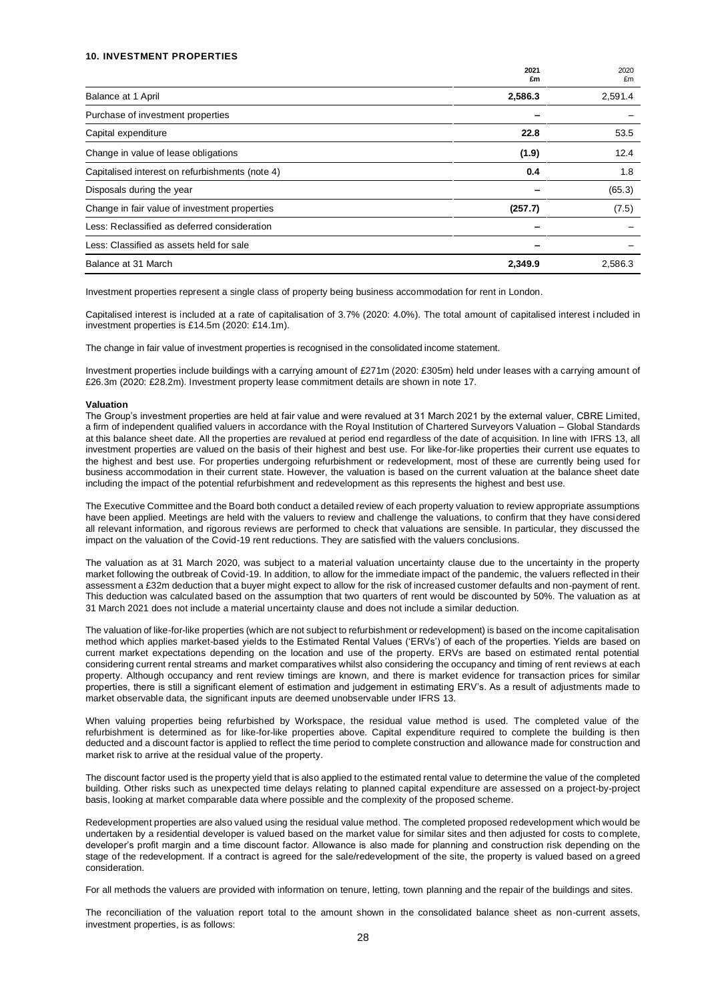#### **10. INVESTMENT PROPERTIES**

|                                                 | 2021<br>£m | 2020<br>£m |
|-------------------------------------------------|------------|------------|
| Balance at 1 April                              | 2,586.3    | 2,591.4    |
| Purchase of investment properties               |            |            |
| Capital expenditure                             | 22.8       | 53.5       |
| Change in value of lease obligations            | (1.9)      | 12.4       |
| Capitalised interest on refurbishments (note 4) | 0.4        | 1.8        |
| Disposals during the year                       |            | (65.3)     |
| Change in fair value of investment properties   | (257.7)    | (7.5)      |
| Less: Reclassified as deferred consideration    |            |            |
| Less: Classified as assets held for sale        |            |            |
| Balance at 31 March                             | 2,349.9    | 2,586.3    |

Investment properties represent a single class of property being business accommodation for rent in London.

Capitalised interest is included at a rate of capitalisation of 3.7% (2020: 4.0%). The total amount of capitalised interest i ncluded in investment properties is £14.5m (2020: £14.1m).

The change in fair value of investment properties is recognised in the consolidated income statement.

Investment properties include buildings with a carrying amount of £271m (2020: £305m) held under leases with a carrying amount of £26.3m (2020: £28.2m). Investment property lease commitment details are shown in note 17.

#### **Valuation**

The Group's investment properties are held at fair value and were revalued at 31 March 2021 by the external valuer, CBRE Limited, a firm of independent qualified valuers in accordance with the Royal Institution of Chartered Surveyors Valuation – Global Standards at this balance sheet date. All the properties are revalued at period end regardless of the date of acquisition. In line with IFRS 13, all investment properties are valued on the basis of their highest and best use. For like-for-like properties their current use equates to the highest and best use. For properties undergoing refurbishment or redevelopment, most of these are currently being used for business accommodation in their current state. However, the valuation is based on the current valuation at the balance sheet date including the impact of the potential refurbishment and redevelopment as this represents the highest and best use.

The Executive Committee and the Board both conduct a detailed review of each property valuation to review appropriate assumptions have been applied. Meetings are held with the valuers to review and challenge the valuations, to confirm that they have considered all relevant information, and rigorous reviews are performed to check that valuations are sensible. In particular, they discussed the impact on the valuation of the Covid-19 rent reductions. They are satisfied with the valuers conclusions.

The valuation as at 31 March 2020, was subject to a material valuation uncertainty clause due to the uncertainty in the property market following the outbreak of Covid-19. In addition, to allow for the immediate impact of the pandemic, the valuers reflected in their assessment a £32m deduction that a buyer might expect to allow for the risk of increased customer defaults and non-payment of rent. This deduction was calculated based on the assumption that two quarters of rent would be discounted by 50%. The valuation as at 31 March 2021 does not include a material uncertainty clause and does not include a similar deduction.

The valuation of like-for-like properties (which are not subject to refurbishment or redevelopment) is based on the income capitalisation method which applies market-based yields to the Estimated Rental Values ('ERVs') of each of the properties. Yields are based on current market expectations depending on the location and use of the property. ERVs are based on estimated rental potential considering current rental streams and market comparatives whilst also considering the occupancy and timing of rent reviews at each property. Although occupancy and rent review timings are known, and there is market evidence for transaction prices for similar properties, there is still a significant element of estimation and judgement in estimating ERV's. As a result of adjustments made to market observable data, the significant inputs are deemed unobservable under IFRS 13.

When valuing properties being refurbished by Workspace, the residual value method is used. The completed value of the refurbishment is determined as for like-for-like properties above. Capital expenditure required to complete the building is then deducted and a discount factor is applied to reflect the time period to complete construction and allowance made for construction and market risk to arrive at the residual value of the property.

The discount factor used is the property yield that is also applied to the estimated rental value to determine the value of the completed building. Other risks such as unexpected time delays relating to planned capital expenditure are assessed on a project-by-project basis, looking at market comparable data where possible and the complexity of the proposed scheme.

Redevelopment properties are also valued using the residual value method. The completed proposed redevelopment which would be undertaken by a residential developer is valued based on the market value for similar sites and then adjusted for costs to complete, developer's profit margin and a time discount factor. Allowance is also made for planning and construction risk depending on the stage of the redevelopment. If a contract is agreed for the sale/redevelopment of the site, the property is valued based on a greed consideration.

For all methods the valuers are provided with information on tenure, letting, town planning and the repair of the buildings and sites.

The reconciliation of the valuation report total to the amount shown in the consolidated balance sheet as non-current assets, investment properties, is as follows: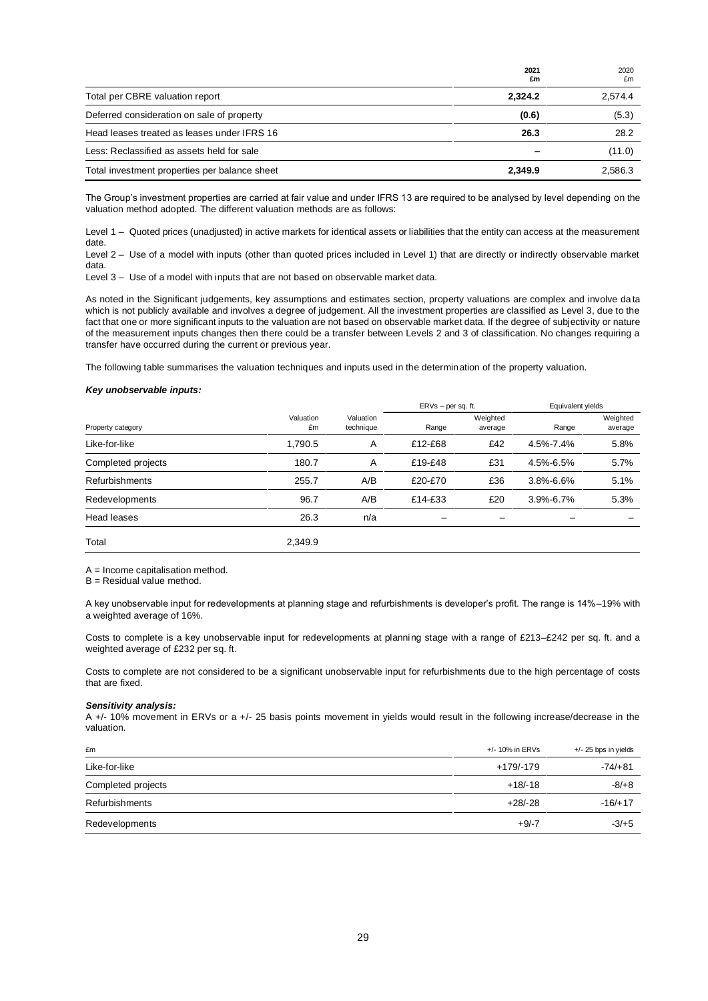|                                               | 2021<br>£m | 2020<br>£m |
|-----------------------------------------------|------------|------------|
| Total per CBRE valuation report               | 2.324.2    | 2,574.4    |
| Deferred consideration on sale of property    | (0.6)      | (5.3)      |
| Head leases treated as leases under IFRS 16   | 26.3       | 28.2       |
| Less: Reclassified as assets held for sale    |            | (11.0)     |
| Total investment properties per balance sheet | 2.349.9    | 2,586.3    |

The Group's investment properties are carried at fair value and under IFRS 13 are required to be analysed by level depending on the valuation method adopted. The different valuation methods are as follows:

Level 1 – Quoted prices (unadjusted) in active markets for identical assets or liabilities that the entity can access at the measurement date. Level 2 – Use of a model with inputs (other than quoted prices included in Level 1) that are directly or indirectly observable market

data.

Level 3 – Use of a model with inputs that are not based on observable market data.

As noted in the Significant judgements, key assumptions and estimates section, property valuations are complex and involve da ta which is not publicly available and involves a degree of judgement. All the investment properties are classified as Level 3, due to the fact that one or more significant inputs to the valuation are not based on observable market data. If the degree of subjectivity or nature of the measurement inputs changes then there could be a transfer between Levels 2 and 3 of classification. No changes requiring a transfer have occurred during the current or previous year.

The following table summarises the valuation techniques and inputs used in the determination of the property valuation.

#### *Key unobservable inputs:*

|                       |                 |                        |         | ERVs – per sq. ft.  |                 | Equivalent yields   |  |
|-----------------------|-----------------|------------------------|---------|---------------------|-----------------|---------------------|--|
| Property category     | Valuation<br>£m | Valuation<br>technique | Range   | Weighted<br>average | Range           | Weighted<br>average |  |
| Like-for-like         | 1,790.5         | A                      | £12-£68 | £42                 | 4.5%-7.4%       | 5.8%                |  |
| Completed projects    | 180.7           | A                      | £19-£48 | £31                 | 4.5%-6.5%       | 5.7%                |  |
| <b>Refurbishments</b> | 255.7           | A/B                    | £20-£70 | £36                 | $3.8\% - 6.6\%$ | 5.1%                |  |
| Redevelopments        | 96.7            | A/B                    | £14-£33 | £20                 | 3.9%-6.7%       | 5.3%                |  |
| Head leases           | 26.3            | n/a                    |         |                     |                 |                     |  |
| Total                 | 2.349.9         |                        |         |                     |                 |                     |  |

A = Income capitalisation method.

 $B =$  Residual value method.

A key unobservable input for redevelopments at planning stage and refurbishments is developer's profit. The range is 14%–19% with a weighted average of 16%.

Costs to complete is a key unobservable input for redevelopments at planning stage with a range of £213–£242 per sq. ft. and a weighted average of £232 per sq. ft.

Costs to complete are not considered to be a significant unobservable input for refurbishments due to the high percentage of costs that are fixed.

#### *Sensitivity analysis:*

A +/- 10% movement in ERVs or a +/- 25 basis points movement in yields would result in the following increase/decrease in the valuation.

| £m                 | +/- 10% in ERVs | $+/- 25$ bps in yields |
|--------------------|-----------------|------------------------|
| Like-for-like      | +179/-179       | $-74/+81$              |
| Completed projects | $+18/18$        | $-8/+8$                |
| Refurbishments     | $+28/28$        | $-16/+17$              |
| Redevelopments     | $+9/-7$         | $-3/+5$                |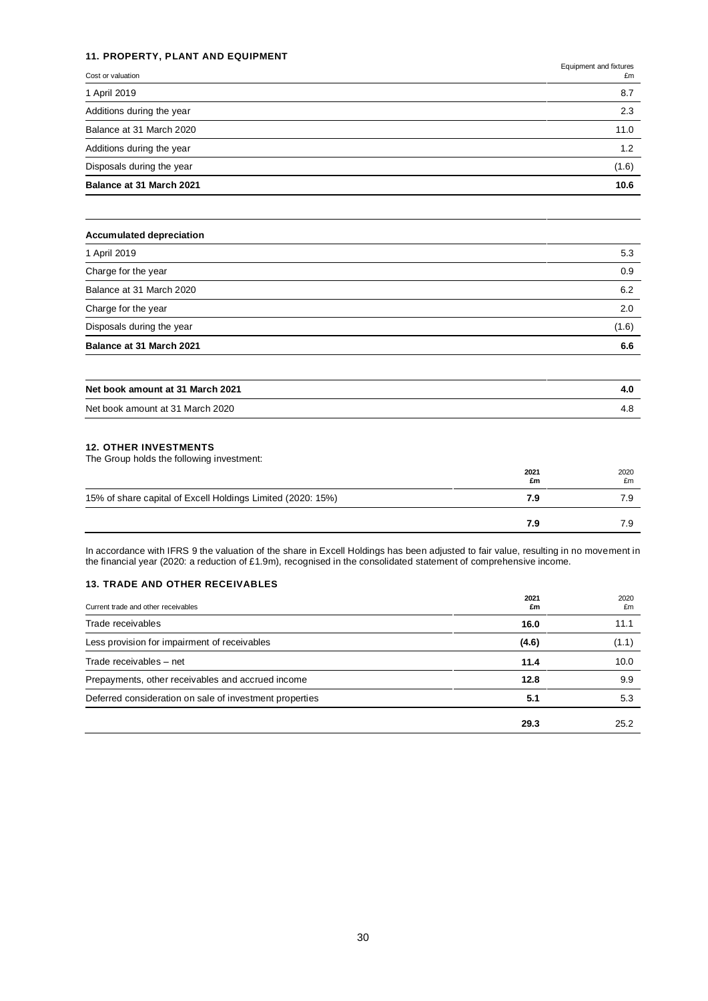### **11. PROPERTY, PLANT AND EQUIPMENT**

Equipment and fixtures

| Balance at 31 March 2021  | 10.6  |
|---------------------------|-------|
| Disposals during the year | (1.6) |
| Additions during the year | 1.2   |
| Balance at 31 March 2020  | 11.0  |
| Additions during the year | 2.3   |
| 1 April 2019              | 8.7   |
| Cost or valuation         | £m    |

| <b>Accumulated depreciation</b> |       |
|---------------------------------|-------|
| 1 April 2019                    | 5.3   |
| Charge for the year             | 0.9   |
| Balance at 31 March 2020        | 6.2   |
| Charge for the year             | 2.0   |
| Disposals during the year       | (1.6) |
| Balance at 31 March 2021        | 6.6   |
|                                 |       |

| Net book amount at 31 March 2021 |  |
|----------------------------------|--|
| Net book amount at 31 March 2020 |  |

### **12. OTHER INVESTMENTS**

The Group holds the following investment:

|                                                             | 2021<br>£m | 2020<br>£m |
|-------------------------------------------------------------|------------|------------|
| 15% of share capital of Excell Holdings Limited (2020: 15%) | 7.9        | 7 C        |
|                                                             | 7.9        |            |

In accordance with IFRS 9 the valuation of the share in Excell Holdings has been adjusted to fair value, resulting in no movement in the financial year (2020: a reduction of £1.9m), recognised in the consolidated statement of comprehensive income.

### **13. TRADE AND OTHER RECEIVABLES**

| Current trade and other receivables                     | 2021<br>£m | 2020<br>£m |
|---------------------------------------------------------|------------|------------|
| Trade receivables                                       | 16.0       | 11.1       |
| Less provision for impairment of receivables            | (4.6)      | (1.1)      |
| Trade receivables - net                                 | 11.4       | 10.0       |
| Prepayments, other receivables and accrued income       | 12.8       | 9.9        |
| Deferred consideration on sale of investment properties | 5.1        | 5.3        |
|                                                         | 29.3       | 25.2       |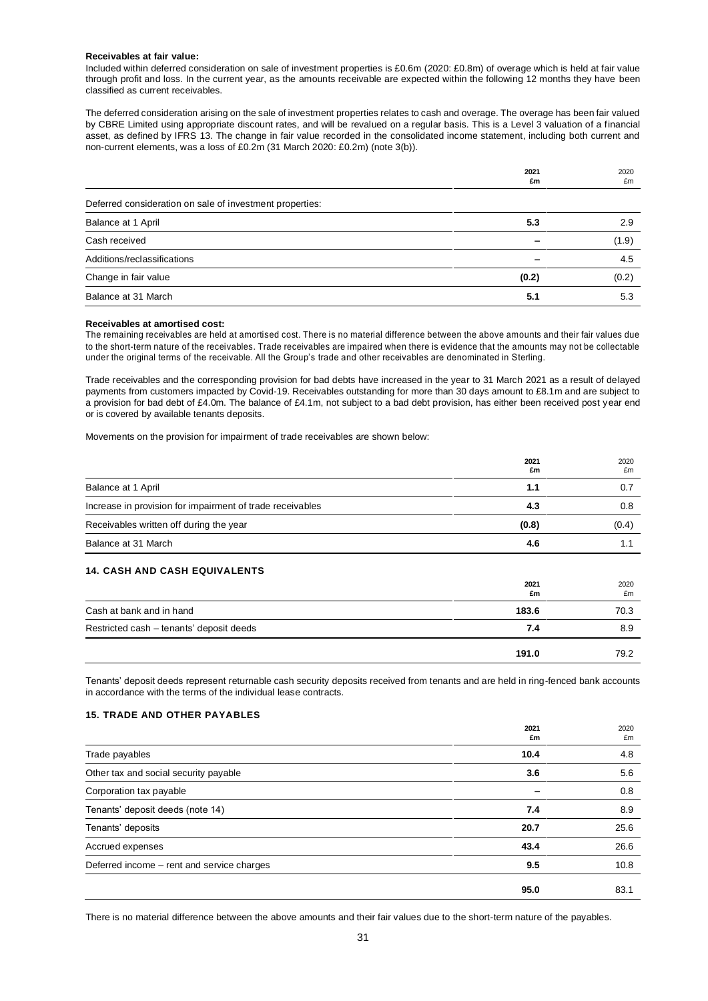#### **Receivables at fair value:**

Included within deferred consideration on sale of investment properties is £0.6m (2020: £0.8m) of overage which is held at fair value through profit and loss. In the current year, as the amounts receivable are expected within the following 12 months they have been classified as current receivables.

The deferred consideration arising on the sale of investment properties relates to cash and overage. The overage has been fair valued by CBRE Limited using appropriate discount rates, and will be revalued on a regular basis. This is a Level 3 valuation of a financial asset, as defined by IFRS 13. The change in fair value recorded in the consolidated income statement, including both current and non-current elements, was a loss of £0.2m (31 March 2020: £0.2m) (note 3(b)).

|                                                          | 2021<br>£m | 2020<br>£m |
|----------------------------------------------------------|------------|------------|
| Deferred consideration on sale of investment properties: |            |            |
| Balance at 1 April                                       | 5.3        | 2.9        |
| Cash received                                            |            | (1.9)      |
| Additions/reclassifications                              |            | 4.5        |
| Change in fair value                                     | (0.2)      | (0.2)      |
| Balance at 31 March                                      | 5.1        | 5.3        |

#### **Receivables at amortised cost:**

The remaining receivables are held at amortised cost. There is no material difference between the above amounts and their fair values due to the short-term nature of the receivables. Trade receivables are impaired when there is evidence that the amounts may not be collectable under the original terms of the receivable. All the Group's trade and other receivables are denominated in Sterling.

Trade receivables and the corresponding provision for bad debts have increased in the year to 31 March 2021 as a result of delayed payments from customers impacted by Covid-19. Receivables outstanding for more than 30 days amount to £8.1m and are subject to a provision for bad debt of £4.0m. The balance of £4.1m, not subject to a bad debt provision, has either been received post year end or is covered by available tenants deposits.

Movements on the provision for impairment of trade receivables are shown below:

|                                                           | 2021<br>£m | 2020<br>£m |
|-----------------------------------------------------------|------------|------------|
| Balance at 1 April                                        | 1.1        | 0.7        |
| Increase in provision for impairment of trade receivables | 4.3        | 0.8        |
| Receivables written off during the year                   | (0.8)      | (0.4)      |
| Balance at 31 March                                       | 4.6        |            |
| <b>14. CASH AND CASH EQUIVALENTS</b>                      |            |            |
|                                                           | 2021<br>£m | 2020<br>£m |

|                                          | 2021<br>£m | 2020<br>£m |
|------------------------------------------|------------|------------|
| Cash at bank and in hand                 | 183.6      | 70.3       |
| Restricted cash - tenants' deposit deeds | 7.4        | 8.9        |
|                                          | 191.0      | 79.2       |

Tenants' deposit deeds represent returnable cash security deposits received from tenants and are held in ring-fenced bank accounts in accordance with the terms of the individual lease contracts.

#### **15. TRADE AND OTHER PAYABLES**

|                                            | 2021<br>£m | 2020<br>£m |
|--------------------------------------------|------------|------------|
| Trade payables                             | 10.4       | 4.8        |
| Other tax and social security payable      | 3.6        | 5.6        |
| Corporation tax payable                    |            | 0.8        |
| Tenants' deposit deeds (note 14)           | 7.4        | 8.9        |
| Tenants' deposits                          | 20.7       | 25.6       |
| Accrued expenses                           | 43.4       | 26.6       |
| Deferred income - rent and service charges | 9.5        | 10.8       |
|                                            | 95.0       | 83.1       |

There is no material difference between the above amounts and their fair values due to the short-term nature of the payables.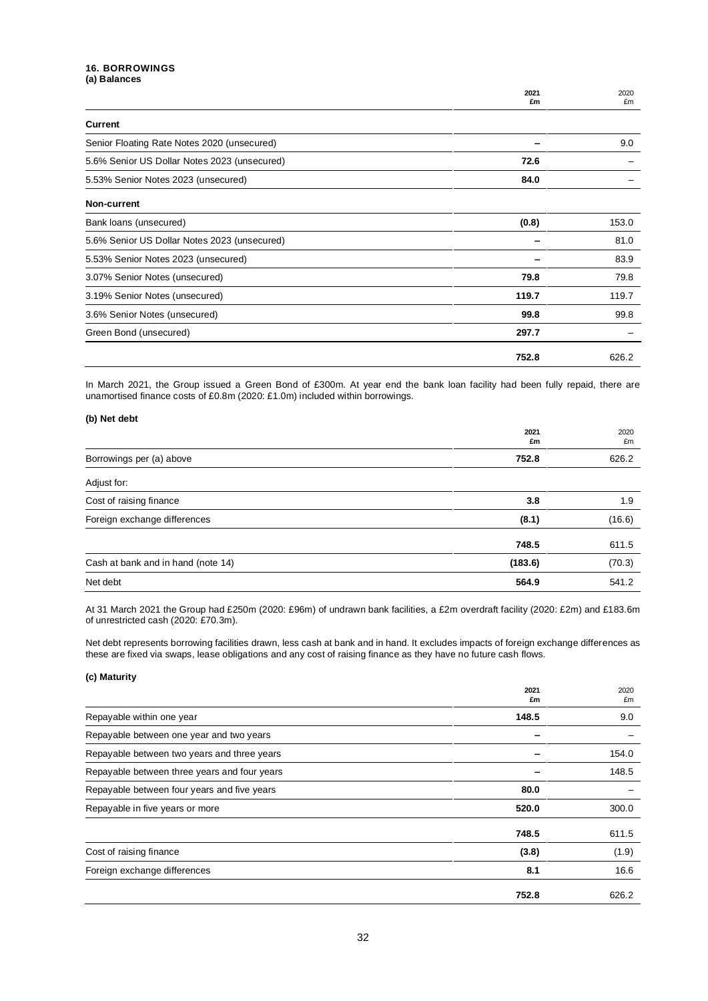### **16. BORROWINGS (a) Balances**

|                                              | 2021<br>£m | 2020<br>£m |
|----------------------------------------------|------------|------------|
| Current                                      |            |            |
| Senior Floating Rate Notes 2020 (unsecured)  |            | 9.0        |
| 5.6% Senior US Dollar Notes 2023 (unsecured) | 72.6       |            |
| 5.53% Senior Notes 2023 (unsecured)          | 84.0       |            |
| Non-current                                  |            |            |
| Bank loans (unsecured)                       | (0.8)      | 153.0      |
| 5.6% Senior US Dollar Notes 2023 (unsecured) |            | 81.0       |
| 5.53% Senior Notes 2023 (unsecured)          |            | 83.9       |
| 3.07% Senior Notes (unsecured)               | 79.8       | 79.8       |
| 3.19% Senior Notes (unsecured)               | 119.7      | 119.7      |
| 3.6% Senior Notes (unsecured)                | 99.8       | 99.8       |
| Green Bond (unsecured)                       | 297.7      |            |
|                                              | 752.8      | 626.2      |

In March 2021, the Group issued a Green Bond of £300m. At year end the bank loan facility had been fully repaid, there are unamortised finance costs of £0.8m (2020: £1.0m) included within borrowings.

### **(b) Net debt**

|                                    | 2021<br>£m | 2020<br>£m |
|------------------------------------|------------|------------|
| Borrowings per (a) above           | 752.8      | 626.2      |
| Adjust for:                        |            |            |
| Cost of raising finance            | 3.8        | 1.9        |
| Foreign exchange differences       | (8.1)      | (16.6)     |
|                                    | 748.5      | 611.5      |
| Cash at bank and in hand (note 14) | (183.6)    | (70.3)     |
| Net debt                           | 564.9      | 541.2      |

At 31 March 2021 the Group had £250m (2020: £96m) of undrawn bank facilities, a £2m overdraft facility (2020: £2m) and £183.6m of unrestricted cash (2020: £70.3m).

Net debt represents borrowing facilities drawn, less cash at bank and in hand. It excludes impacts of foreign exchange differences as these are fixed via swaps, lease obligations and any cost of raising finance as they have no future cash flows.

### **(c) Maturity**

|                                              | 2021<br>£m | 2020<br>£m |
|----------------------------------------------|------------|------------|
| Repayable within one year                    | 148.5      | 9.0        |
| Repayable between one year and two years     |            |            |
| Repayable between two years and three years  |            | 154.0      |
| Repayable between three years and four years |            | 148.5      |
| Repayable between four years and five years  | 80.0       |            |
| Repayable in five years or more              | 520.0      | 300.0      |
|                                              | 748.5      | 611.5      |
| Cost of raising finance                      | (3.8)      | (1.9)      |
| Foreign exchange differences                 | 8.1        | 16.6       |
|                                              | 752.8      | 626.2      |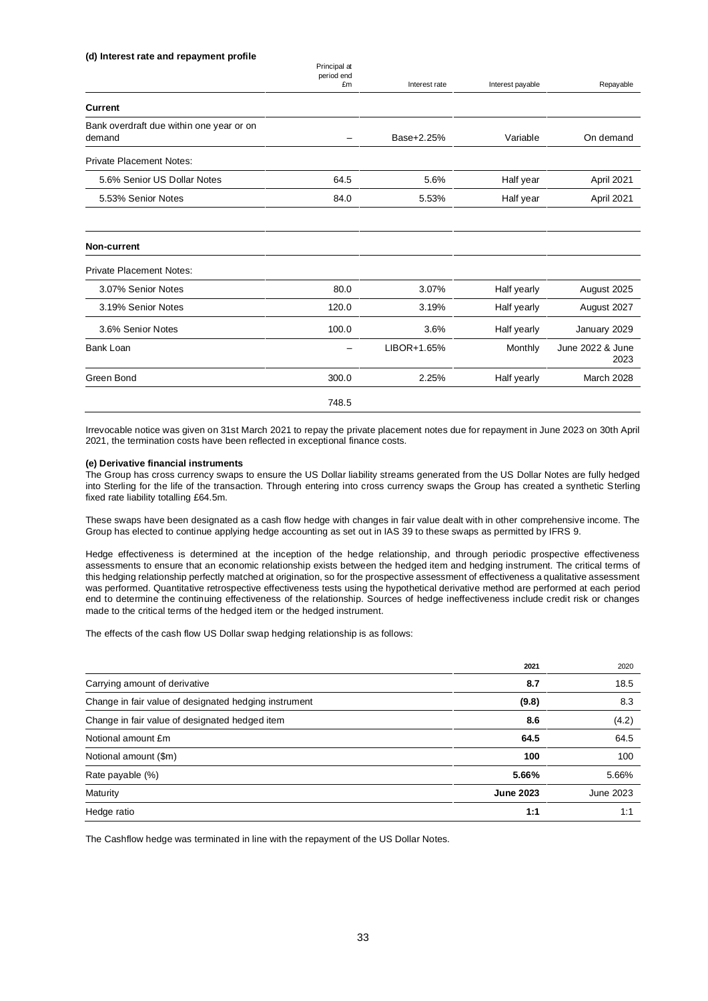#### **(d) Interest rate and repayment profile**

|                                                    | Principal at<br>period end |               |                  |                          |
|----------------------------------------------------|----------------------------|---------------|------------------|--------------------------|
|                                                    | £m                         | Interest rate | Interest payable | Repayable                |
| <b>Current</b>                                     |                            |               |                  |                          |
| Bank overdraft due within one year or on<br>demand | $\qquad \qquad$            | Base+2.25%    | Variable         | On demand                |
| <b>Private Placement Notes:</b>                    |                            |               |                  |                          |
| 5.6% Senior US Dollar Notes                        | 64.5                       | 5.6%          | Half year        | April 2021               |
| 5.53% Senior Notes                                 | 84.0                       | 5.53%         | Half year        | April 2021               |
| Non-current                                        |                            |               |                  |                          |
| <b>Private Placement Notes:</b>                    |                            |               |                  |                          |
| 3.07% Senior Notes                                 | 80.0                       | 3.07%         | Half yearly      | August 2025              |
| 3.19% Senior Notes                                 | 120.0                      | 3.19%         | Half yearly      | August 2027              |
| 3.6% Senior Notes                                  | 100.0                      | 3.6%          | Half yearly      | January 2029             |
| Bank Loan                                          |                            | LIBOR+1.65%   | Monthly          | June 2022 & June<br>2023 |
| Green Bond                                         | 300.0                      | 2.25%         | Half yearly      | March 2028               |
|                                                    | 748.5                      |               |                  |                          |

Irrevocable notice was given on 31st March 2021 to repay the private placement notes due for repayment in June 2023 on 30th April 2021, the termination costs have been reflected in exceptional finance costs.

#### **(e) Derivative financial instruments**

The Group has cross currency swaps to ensure the US Dollar liability streams generated from the US Dollar Notes are fully hedged into Sterling for the life of the transaction. Through entering into cross currency swaps the Group has created a synthetic Sterling fixed rate liability totalling £64.5m.

These swaps have been designated as a cash flow hedge with changes in fair value dealt with in other comprehensive income. The Group has elected to continue applying hedge accounting as set out in IAS 39 to these swaps as permitted by IFRS 9.

Hedge effectiveness is determined at the inception of the hedge relationship, and through periodic prospective effectiveness assessments to ensure that an economic relationship exists between the hedged item and hedging instrument. The critical terms of this hedging relationship perfectly matched at origination, so for the prospective assessment of effectiveness a qualitative assessment was performed. Quantitative retrospective effectiveness tests using the hypothetical derivative method are performed at each period end to determine the continuing effectiveness of the relationship. Sources of hedge ineffectiveness include credit risk or changes made to the critical terms of the hedged item or the hedged instrument.

The effects of the cash flow US Dollar swap hedging relationship is as follows:

|                                                       | 2021             | 2020      |
|-------------------------------------------------------|------------------|-----------|
| Carrying amount of derivative                         | 8.7              | 18.5      |
| Change in fair value of designated hedging instrument | (9.8)            | 8.3       |
| Change in fair value of designated hedged item        | 8.6              | (4.2)     |
| Notional amount £m                                    | 64.5             | 64.5      |
| Notional amount (\$m)                                 | 100              | 100       |
| Rate payable (%)                                      | 5.66%            | 5.66%     |
| Maturity                                              | <b>June 2023</b> | June 2023 |
| Hedge ratio                                           | 1:1              | 1:1       |

The Cashflow hedge was terminated in line with the repayment of the US Dollar Notes.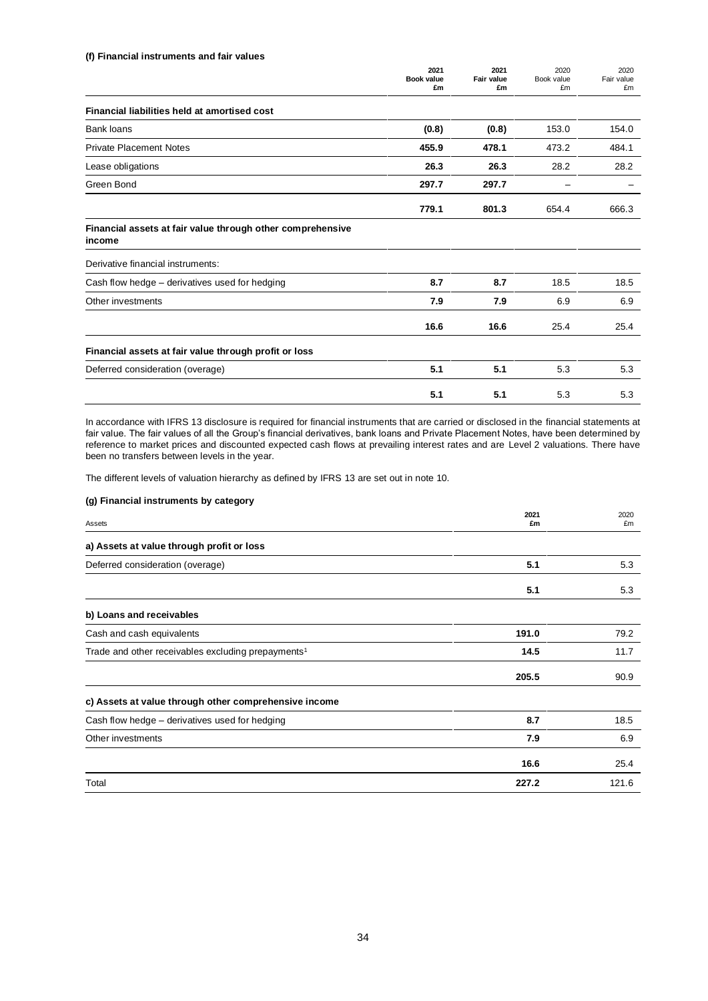#### **(f) Financial instruments and fair values**

|                                                                      | 2021<br>Book value<br>£m | 2021<br>Fair value<br>£m | 2020<br>Book value<br>£m | 2020<br>Fair value<br>£m |
|----------------------------------------------------------------------|--------------------------|--------------------------|--------------------------|--------------------------|
| Financial liabilities held at amortised cost                         |                          |                          |                          |                          |
| <b>Bank loans</b>                                                    | (0.8)                    | (0.8)                    | 153.0                    | 154.0                    |
| <b>Private Placement Notes</b>                                       | 455.9                    | 478.1                    | 473.2                    | 484.1                    |
| Lease obligations                                                    | 26.3                     | 26.3                     | 28.2                     | 28.2                     |
| Green Bond                                                           | 297.7                    | 297.7                    |                          |                          |
|                                                                      | 779.1                    | 801.3                    | 654.4                    | 666.3                    |
| Financial assets at fair value through other comprehensive<br>income |                          |                          |                          |                          |
| Derivative financial instruments:                                    |                          |                          |                          |                          |
| Cash flow hedge - derivatives used for hedging                       | 8.7                      | 8.7                      | 18.5                     | 18.5                     |
| Other investments                                                    | 7.9                      | 7.9                      | 6.9                      | 6.9                      |
|                                                                      | 16.6                     | 16.6                     | 25.4                     | 25.4                     |
| Financial assets at fair value through profit or loss                |                          |                          |                          |                          |
| Deferred consideration (overage)                                     | 5.1                      | 5.1                      | 5.3                      | 5.3                      |
|                                                                      | 5.1                      | 5.1                      | 5.3                      | 5.3                      |

In accordance with IFRS 13 disclosure is required for financial instruments that are carried or disclosed in the financial statements at fair value. The fair values of all the Group's financial derivatives, bank loans and Private Placement Notes, have been determined by reference to market prices and discounted expected cash flows at prevailing interest rates and are Level 2 valuations. There have been no transfers between levels in the year.

The different levels of valuation hierarchy as defined by IFRS 13 are set out in note 10.

### **(g) Financial instruments by category**

|                                                                | 2021  | 2020  |
|----------------------------------------------------------------|-------|-------|
| Assets                                                         | £m    | £m    |
| a) Assets at value through profit or loss                      |       |       |
| Deferred consideration (overage)                               | 5.1   | 5.3   |
|                                                                | 5.1   | 5.3   |
| b) Loans and receivables                                       |       |       |
| Cash and cash equivalents                                      | 191.0 | 79.2  |
| Trade and other receivables excluding prepayments <sup>1</sup> | 14.5  | 11.7  |
|                                                                | 205.5 | 90.9  |
| c) Assets at value through other comprehensive income          |       |       |
| Cash flow hedge – derivatives used for hedging                 | 8.7   | 18.5  |
| Other investments                                              | 7.9   | 6.9   |
|                                                                | 16.6  | 25.4  |
| Total                                                          | 227.2 | 121.6 |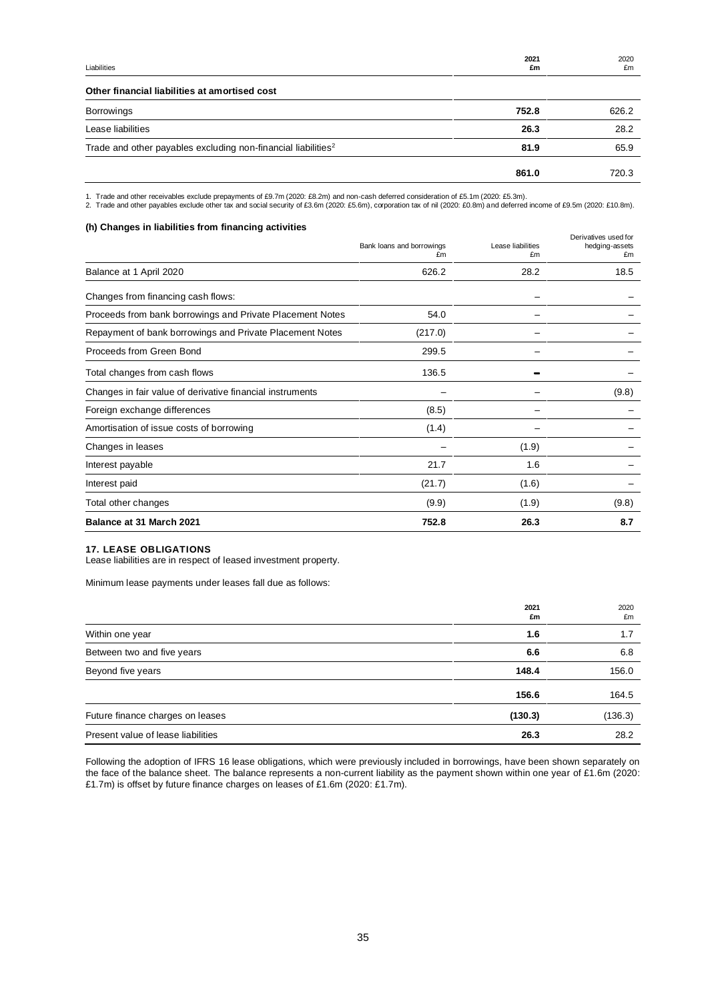| Liabilities | 2021<br>£m | 2020<br>£m |
|-------------|------------|------------|
|             |            |            |

### **Other financial liabilities at amortised cost**

|                                                                           | 752.8 | 626.2 |
|---------------------------------------------------------------------------|-------|-------|
| Borrowings                                                                |       |       |
| Lease liabilities                                                         | 26.3  | 28.2  |
| Trade and other payables excluding non-financial liabilities <sup>2</sup> | 81.9  | 65.9  |
|                                                                           | 861.0 | 720.3 |

1. Trade and other receivables exclude prepayments of £9.7m (2020: £8.2m) and non-cash deferred consideration of £5.1m (2020: £5.3m).<br>2. Trade and other payables exclude other tax and social security of £3.6m (2020: £5.6m)

### **(h) Changes in liabilities from financing activities**

|                                                           | Bank loans and borrowings<br>£m | Lease liabilities<br>£m | Derivatives used for<br>hedging-assets<br>£m |
|-----------------------------------------------------------|---------------------------------|-------------------------|----------------------------------------------|
| Balance at 1 April 2020                                   | 626.2                           | 28.2                    | 18.5                                         |
| Changes from financing cash flows:                        |                                 |                         |                                              |
| Proceeds from bank borrowings and Private Placement Notes | 54.0                            |                         |                                              |
| Repayment of bank borrowings and Private Placement Notes  | (217.0)                         |                         |                                              |
| Proceeds from Green Bond                                  | 299.5                           |                         |                                              |
| Total changes from cash flows                             | 136.5                           |                         |                                              |
| Changes in fair value of derivative financial instruments |                                 |                         | (9.8)                                        |
| Foreign exchange differences                              | (8.5)                           |                         |                                              |
| Amortisation of issue costs of borrowing                  | (1.4)                           |                         |                                              |
| Changes in leases                                         |                                 | (1.9)                   |                                              |
| Interest payable                                          | 21.7                            | 1.6                     |                                              |
| Interest paid                                             | (21.7)                          | (1.6)                   |                                              |
| Total other changes                                       | (9.9)                           | (1.9)                   | (9.8)                                        |
| Balance at 31 March 2021                                  | 752.8                           | 26.3                    | 8.7                                          |

### **17. LEASE OBLIGATIONS**

Lease liabilities are in respect of leased investment property.

Minimum lease payments under leases fall due as follows:

|                                    | 2021<br>£m | 2020<br>£m |
|------------------------------------|------------|------------|
| Within one year                    | 1.6        | 1.7        |
| Between two and five years         | 6.6        | 6.8        |
| Beyond five years                  | 148.4      | 156.0      |
|                                    | 156.6      | 164.5      |
| Future finance charges on leases   | (130.3)    | (136.3)    |
| Present value of lease liabilities | 26.3       | 28.2       |

Following the adoption of IFRS 16 lease obligations, which were previously included in borrowings, have been shown separately on the face of the balance sheet. The balance represents a non-current liability as the payment shown within one year of £1.6m (2020: £1.7m) is offset by future finance charges on leases of £1.6m (2020: £1.7m).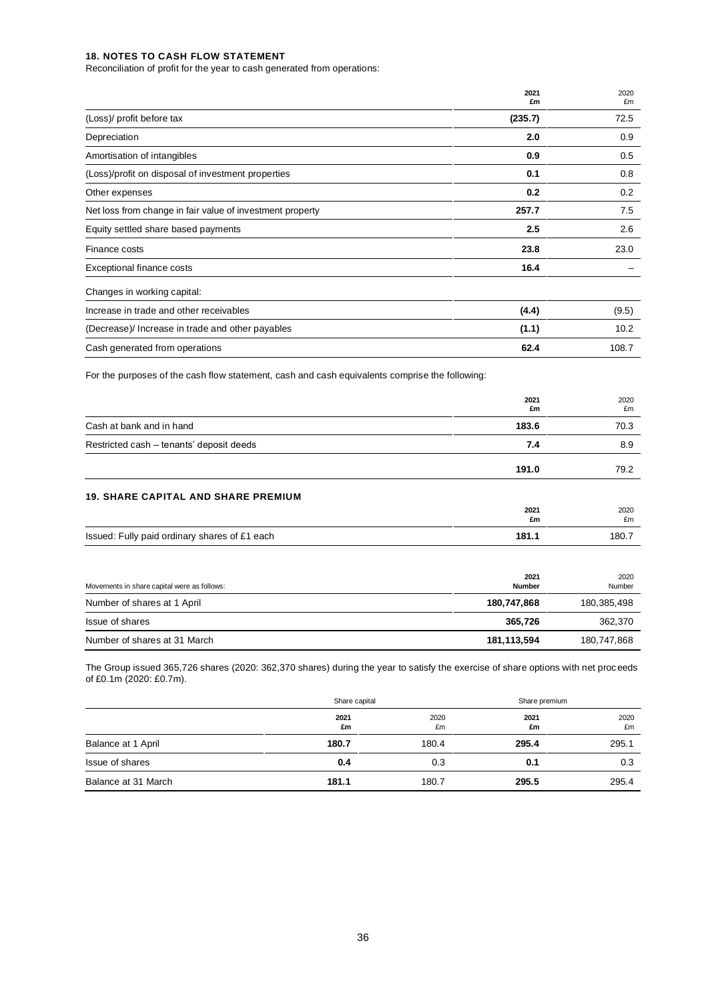#### **18. NOTES TO CASH FLOW STATEMENT**

Reconciliation of profit for the year to cash generated from operations:

|                                                           | 2021<br>£m | 2020<br>£m |
|-----------------------------------------------------------|------------|------------|
| (Loss)/ profit before tax                                 | (235.7)    | 72.5       |
| Depreciation                                              | 2.0        | 0.9        |
| Amortisation of intangibles                               | 0.9        | 0.5        |
| (Loss)/profit on disposal of investment properties        | 0.1        | 0.8        |
| Other expenses                                            | 0.2        | 0.2        |
| Net loss from change in fair value of investment property | 257.7      | 7.5        |
| Equity settled share based payments                       | 2.5        | 2.6        |
| Finance costs                                             | 23.8       | 23.0       |
| <b>Exceptional finance costs</b>                          | 16.4       |            |
| Changes in working capital:                               |            |            |
| Increase in trade and other receivables                   | (4.4)      | (9.5)      |
| (Decrease)/ Increase in trade and other payables          | (1.1)      | 10.2       |
| Cash generated from operations                            | 62.4       | 108.7      |

For the purposes of the cash flow statement, cash and cash equivalents comprise the following:

|                                               | 2021<br>£m            | 2020<br>£m     |
|-----------------------------------------------|-----------------------|----------------|
| Cash at bank and in hand                      | 183.6                 | 70.3           |
| Restricted cash - tenants' deposit deeds      | 7.4                   | 8.9            |
|                                               | 191.0                 | 79.2           |
| <b>19. SHARE CAPITAL AND SHARE PREMIUM</b>    |                       |                |
|                                               | 2021<br>£m            | 2020<br>£m     |
| Issued: Fully paid ordinary shares of £1 each | 181.1                 | 180.7          |
| Movements in share capital were as follows:   | 2021<br><b>Number</b> | 2020<br>Number |
| Number of shares at 1 April                   | 180,747,868           | 180,385,498    |
| Issue of shares                               | 365,726               | 362,370        |
| Number of shares at 31 March                  | 181, 113, 594         | 180,747,868    |

The Group issued 365,726 shares (2020: 362,370 shares) during the year to satisfy the exercise of share options with net proceeds of £0.1m (2020: £0.7m).

|                     | Share capital |            | Share premium |            |
|---------------------|---------------|------------|---------------|------------|
|                     | 2021<br>£m    | 2020<br>£m | 2021<br>£m    | 2020<br>£m |
| Balance at 1 April  | 180.7         | 180.4      | 295.4         | 295.1      |
| Issue of shares     | 0.4           | 0.3        | 0.1           | 0.3        |
| Balance at 31 March | 181.1         | 180.7      | 295.5         | 295.4      |